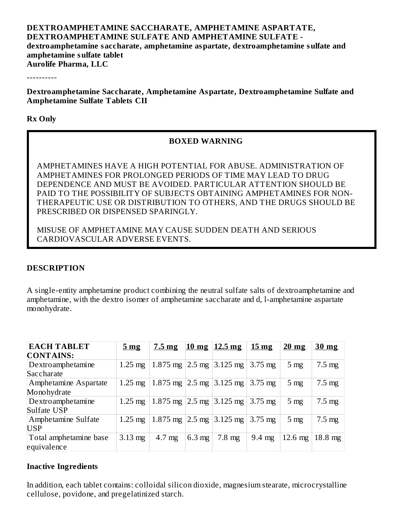#### **DEXTROAMPHETAMINE SACCHARATE, AMPHETAMINE ASPARTATE, DEXTROAMPHETAMINE SULFATE AND AMPHETAMINE SULFATE dextroamphetamine saccharate, amphetamine aspartate, dextroamphetamine sulfate and amphetamine sulfate tablet Aurolife Pharma, LLC**

----------

**Dextroamphetamine Saccharate, Amphetamine Aspartate, Dextroamphetamine Sulfate and Amphetamine Sulfate Tablets CII**

**Rx Only**

## **BOXED WARNING**

AMPHETAMINES HAVE A HIGH POTENTIAL FOR ABUSE. ADMINISTRATION OF AMPHETAMINES FOR PROLONGED PERIODS OF TIME MAY LEAD TO DRUG DEPENDENCE AND MUST BE AVOIDED. PARTICULAR ATTENTION SHOULD BE PAID TO THE POSSIBILITY OF SUBJECTS OBTAINING AMPHETAMINES FOR NON-THERAPEUTIC USE OR DISTRIBUTION TO OTHERS, AND THE DRUGS SHOULD BE PRESCRIBED OR DISPENSED SPARINGLY.

MISUSE OF AMPHETAMINE MAY CAUSE SUDDEN DEATH AND SERIOUS CARDIOVASCULAR ADVERSE EVENTS.

#### **DESCRIPTION**

A single-entity amphetamine product combining the neutral sulfate salts of dextroamphetamine and amphetamine, with the dextro isomer of amphetamine saccharate and d, l-amphetamine aspartate monohydrate.

| <b>EACH TABLET</b>     | $5 \,\mathrm{mg}$ | 7.5 <sub>mg</sub>  | 10 <sub>mg</sub> | $12.5 \text{ mg}$ | 15 <sub>mg</sub>  | $20$ mg           | $30$ mg           |
|------------------------|-------------------|--------------------|------------------|-------------------|-------------------|-------------------|-------------------|
| <b>CONTAINS:</b>       |                   |                    |                  |                   |                   |                   |                   |
| Dextroamphetamine      | $1.25$ mg         | $1.875 \text{ mg}$ | $2.5 \text{ mg}$ | $3.125$ mg        | $3.75 \text{ mg}$ | $5 \text{ mg}$    | $7.5 \text{ mg}$  |
| Saccharate             |                   |                    |                  |                   |                   |                   |                   |
| Amphetamine Aspartate  | $1.25 \text{ mg}$ | $1.875 \text{ mg}$ | $2.5 \text{ mg}$ | $3.125$ mg        | $3.75 \text{ mg}$ | $5 \text{ mg}$    | $7.5 \text{ mg}$  |
| Monohydrate            |                   |                    |                  |                   |                   |                   |                   |
| Dextroamphetamine      | $1.25 \text{ mg}$ | $1.875$ mg         | $2.5 \text{ mg}$ | $3.125$ mg        | $3.75 \text{ mg}$ | $5 \text{ mg}$    | $7.5 \text{ mg}$  |
| Sulfate USP            |                   |                    |                  |                   |                   |                   |                   |
| Amphetamine Sulfate    | $1.25 \text{ mg}$ | $1.875$ mg         | $2.5 \text{ mg}$ | $3.125$ mg        | $3.75$ mg         | $5 \text{ mg}$    | $7.5 \text{ mg}$  |
| <b>USP</b>             |                   |                    |                  |                   |                   |                   |                   |
| Total amphetamine base | $3.13 \text{ mg}$ | $4.7 \text{ mg}$   | $6.3 \text{ mg}$ | $7.8 \text{ mg}$  | $9.4 \text{ mg}$  | $12.6 \text{ mg}$ | $18.8 \text{ mg}$ |
| equivalence            |                   |                    |                  |                   |                   |                   |                   |

#### **Inactive Ingredients**

In addition, each tablet contains: colloidal silicon dioxide, magnesium stearate, microcrystalline cellulose, povidone, and pregelatinized starch.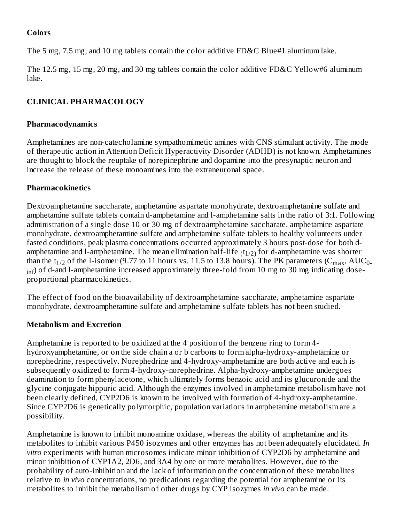## **Colors**

The 5 mg, 7.5 mg, and 10 mg tablets contain the color additive FD&C Blue#1 aluminum lake.

The 12.5 mg, 15 mg, 20 mg, and 30 mg tablets contain the color additive FD&C Yellow#6 aluminum lake.

## **CLINICAL PHARMACOLOGY**

#### **Pharmacodynamics**

Amphetamines are non-catecholamine sympathomimetic amines with CNS stimulant activity. The mode of therapeutic action in Attention Deficit Hyperactivity Disorder (ADHD) is not known. Amphetamines are thought to block the reuptake of norepinephrine and dopamine into the presynaptic neuron and increase the release of these monoamines into the extraneuronal space.

### **Pharmacokinetics**

Dextroamphetamine saccharate, amphetamine aspartate monohydrate, dextroamphetamine sulfate and amphetamine sulfate tablets contain d-amphetamine and l-amphetamine salts in the ratio of 3:1. Following administration of a single dose 10 or 30 mg of dextroamphetamine saccharate, amphetamine aspartate monohydrate, dextroamphetamine sulfate and amphetamine sulfate tablets to healthy volunteers under fasted conditions, peak plasma concentrations occurred approximately 3 hours post-dose for both damphetamine and l-amphetamine. The mean elimination half-life  $(t_{1/2})$  for d-amphetamine was shorter than the t<sub>1/2</sub> of the l-isomer (9.77 to 11 hours vs. 11.5 to 13.8 hours). The PK parameters (C<sub>max</sub>, AUC<sub>0</sub>.  $_{\rm inf}$ ) of d-and l-amphetamine increased approximately three-fold from 10 mg to 30 mg indicating doseproportional pharmacokinetics.

The effect of food on the bioavailability of dextroamphetamine saccharate, amphetamine aspartate monohydrate, dextroamphetamine sulfate and amphetamine sulfate tablets has not been studied.

## **Metabolism and Excretion**

Amphetamine is reported to be oxidized at the 4 position of the benzene ring to form 4 hydroxyamphetamine, or on the side chain a or b carbons to form alpha-hydroxy-amphetamine or norephedrine, respectively. Norephedrine and 4-hydroxy-amphetamine are both active and each is subsequently oxidized to form 4-hydroxy-norephedrine. Alpha-hydroxy-amphetamine undergoes deamination to form phenylacetone, which ultimately forms benzoic acid and its glucuronide and the glycine conjugate hippuric acid. Although the enzymes involved in amphetamine metabolism have not been clearly defined, CYP2D6 is known to be involved with formation of 4-hydroxy-amphetamine. Since CYP2D6 is genetically polymorphic, population variations in amphetamine metabolism are a possibility.

Amphetamine is known to inhibit monoamine oxidase, whereas the ability of amphetamine and its metabolites to inhibit various P450 isozymes and other enzymes has not been adequately elucidated. *In vitro* experiments with human microsomes indicate minor inhibition of CYP2D6 by amphetamine and minor inhibition of CYP1A2, 2D6, and 3A4 by one or more metabolites. However, due to the probability of auto-inhibition and the lack of information on the concentration of these metabolites relative to *in vivo* concentrations, no predications regarding the potential for amphetamine or its metabolites to inhibit the metabolism of other drugs by CYP isozymes *in vivo* can be made.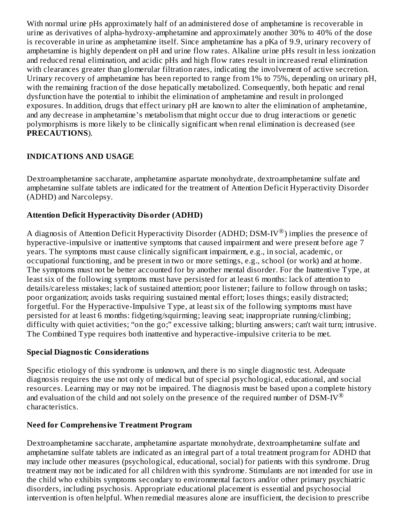With normal urine pHs approximately half of an administered dose of amphetamine is recoverable in urine as derivatives of alpha-hydroxy-amphetamine and approximately another 30% to 40% of the dose is recoverable in urine as amphetamine itself. Since amphetamine has a pKa of 9.9, urinary recovery of amphetamine is highly dependent on pH and urine flow rates. Alkaline urine pHs result in less ionization and reduced renal elimination, and acidic pHs and high flow rates result in increased renal elimination with clearances greater than glomerular filtration rates, indicating the involvement of active secretion. Urinary recovery of amphetamine has been reported to range from 1% to 75%, depending on urinary pH, with the remaining fraction of the dose hepatically metabolized. Consequently, both hepatic and renal dysfunction have the potential to inhibit the elimination of amphetamine and result in prolonged exposures. In addition, drugs that effect urinary pH are known to alter the elimination of amphetamine, and any decrease in amphetamine's metabolism that might occur due to drug interactions or genetic polymorphisms is more likely to be clinically significant when renal elimination is decreased (see **PRECAUTIONS**).

## **INDICATIONS AND USAGE**

Dextroamphetamine saccharate, amphetamine aspartate monohydrate, dextroamphetamine sulfate and amphetamine sulfate tablets are indicated for the treatment of Attention Deficit Hyperactivity Disorder (ADHD) and Narcolepsy.

## **Attention Deficit Hyperactivity Disorder (ADHD)**

A diagnosis of Attention Deficit Hyperactivity Disorder (ADHD; DSM-IV $^{\circledR}$ ) implies the presence of hyperactive-impulsive or inattentive symptoms that caused impairment and were present before age 7 years. The symptoms must cause clinically significant impairment, e.g., in social, academic, or occupational functioning, and be present in two or more settings, e.g., school (or work) and at home. The symptoms must not be better accounted for by another mental disorder. For the Inattentive Type, at least six of the following symptoms must have persisted for at least 6 months: lack of attention to details/careless mistakes; lack of sustained attention; poor listener; failure to follow through on tasks; poor organization; avoids tasks requiring sustained mental effort; loses things; easily distracted; forgetful. For the Hyperactive-Impulsive Type, at least six of the following symptoms must have persisted for at least 6 months: fidgeting/squirming; leaving seat; inappropriate running/climbing; difficulty with quiet activities; "on the go;" excessive talking; blurting answers; can't wait turn; intrusive. The Combined Type requires both inattentive and hyperactive-impulsive criteria to be met.

## **Special Diagnostic Considerations**

Specific etiology of this syndrome is unknown, and there is no single diagnostic test. Adequate diagnosis requires the use not only of medical but of special psychological, educational, and social resources. Learning may or may not be impaired. The diagnosis must be based upon a complete history and evaluation of the child and not solely on the presence of the required number of  $DSM-IV^{\circledR}$ characteristics.

## **Need for Comprehensive Treatment Program**

Dextroamphetamine saccharate, amphetamine aspartate monohydrate, dextroamphetamine sulfate and amphetamine sulfate tablets are indicated as an integral part of a total treatment program for ADHD that may include other measures (psychological, educational, social) for patients with this syndrome. Drug treatment may not be indicated for all children with this syndrome. Stimulants are not intended for use in the child who exhibits symptoms secondary to environmental factors and/or other primary psychiatric disorders, including psychosis. Appropriate educational placement is essential and psychosocial intervention is often helpful. When remedial measures alone are insufficient, the decision to prescribe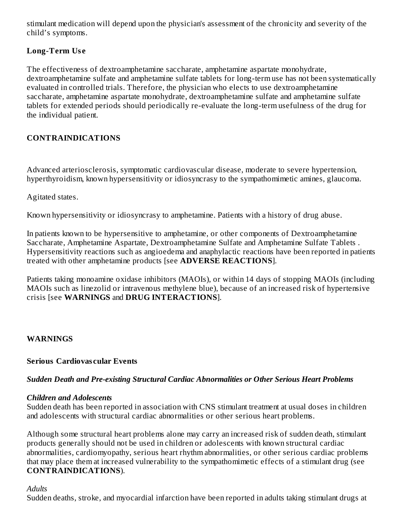stimulant medication will depend upon the physician's assessment of the chronicity and severity of the child's symptoms.

# **Long-Term Us e**

The effectiveness of dextroamphetamine saccharate, amphetamine aspartate monohydrate, dextroamphetamine sulfate and amphetamine sulfate tablets for long-term use has not been systematically evaluated in controlled trials. Therefore, the physician who elects to use dextroamphetamine saccharate, amphetamine aspartate monohydrate, dextroamphetamine sulfate and amphetamine sulfate tablets for extended periods should periodically re-evaluate the long-term usefulness of the drug for the individual patient.

# **CONTRAINDICATIONS**

Advanced arteriosclerosis, symptomatic cardiovascular disease, moderate to severe hypertension, hyperthyroidism, known hypersensitivity or idiosyncrasy to the sympathomimetic amines, glaucoma.

Agitated states.

Known hypersensitivity or idiosyncrasy to amphetamine. Patients with a history of drug abuse.

In patients known to be hypersensitive to amphetamine, or other components of Dextroamphetamine Saccharate, Amphetamine Aspartate, Dextroamphetamine Sulfate and Amphetamine Sulfate Tablets . Hypersensitivity reactions such as angioedema and anaphylactic reactions have been reported in patients treated with other amphetamine products [see **ADVERSE REACTIONS**].

Patients taking monoamine oxidase inhibitors (MAOIs), or within 14 days of stopping MAOIs (including MAOIs such as linezolid or intravenous methylene blue), because of an increased risk of hypertensive crisis [see **WARNINGS** and **DRUG INTERACTIONS**].

## **WARNINGS**

## **Serious Cardiovas cular Events**

# *Sudden Death and Pre-existing Structural Cardiac Abnormalities or Other Serious Heart Problems*

## *Children and Adolescents*

Sudden death has been reported in association with CNS stimulant treatment at usual doses in children and adolescents with structural cardiac abnormalities or other serious heart problems.

Although some structural heart problems alone may carry an increased risk of sudden death, stimulant products generally should not be used in children or adolescents with known structural cardiac abnormalities, cardiomyopathy, serious heart rhythm abnormalities, or other serious cardiac problems that may place them at increased vulnerability to the sympathomimetic effects of a stimulant drug (see **CONTRAINDICATIONS**).

# *Adults*

Sudden deaths, stroke, and myocardial infarction have been reported in adults taking stimulant drugs at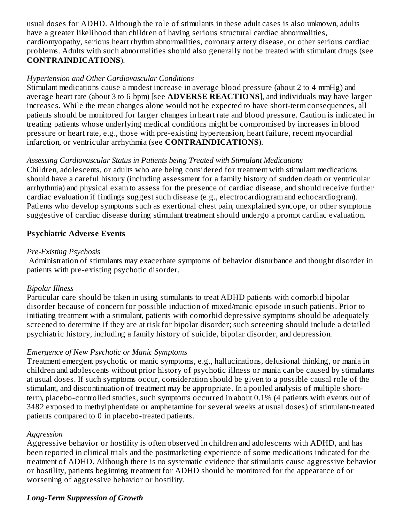usual doses for ADHD. Although the role of stimulants in these adult cases is also unknown, adults have a greater likelihood than children of having serious structural cardiac abnormalities, cardiomyopathy, serious heart rhythm abnormalities, coronary artery disease, or other serious cardiac problems. Adults with such abnormalities should also generally not be treated with stimulant drugs (see **CONTRAINDICATIONS**).

## *Hypertension and Other Cardiovascular Conditions*

Stimulant medications cause a modest increase in average blood pressure (about 2 to 4 mmHg) and average heart rate (about 3 to 6 bpm) [see **ADVERSE REACTIONS**], and individuals may have larger increases. While the mean changes alone would not be expected to have short-term consequences, all patients should be monitored for larger changes in heart rate and blood pressure. Caution is indicated in treating patients whose underlying medical conditions might be compromised by increases in blood pressure or heart rate, e.g., those with pre-existing hypertension, heart failure, recent myocardial infarction, or ventricular arrhythmia (see **CONTRAINDICATIONS**).

## *Assessing Cardiovascular Status in Patients being Treated with Stimulant Medications*

Children, adolescents, or adults who are being considered for treatment with stimulant medications should have a careful history (including assessment for a family history of sudden death or ventricular arrhythmia) and physical exam to assess for the presence of cardiac disease, and should receive further cardiac evaluation if findings suggest such disease (e.g., electrocardiogram and echocardiogram). Patients who develop symptoms such as exertional chest pain, unexplained syncope, or other symptoms suggestive of cardiac disease during stimulant treatment should undergo a prompt cardiac evaluation.

## **Psychiatric Advers e Events**

#### *Pre-Existing Psychosis*

Administration of stimulants may exacerbate symptoms of behavior disturbance and thought disorder in patients with pre-existing psychotic disorder.

## *Bipolar Illness*

Particular care should be taken in using stimulants to treat ADHD patients with comorbid bipolar disorder because of concern for possible induction of mixed/manic episode in such patients. Prior to initiating treatment with a stimulant, patients with comorbid depressive symptoms should be adequately screened to determine if they are at risk for bipolar disorder; such screening should include a detailed psychiatric history, including a family history of suicide, bipolar disorder, and depression.

## *Emergence of New Psychotic or Manic Symptoms*

Treatment emergent psychotic or manic symptoms, e.g., hallucinations, delusional thinking, or mania in children and adolescents without prior history of psychotic illness or mania can be caused by stimulants at usual doses. If such symptoms occur, consideration should be given to a possible causal role of the stimulant, and discontinuation of treatment may be appropriate. In a pooled analysis of multiple shortterm, placebo-controlled studies, such symptoms occurred in about 0.1% (4 patients with events out of 3482 exposed to methylphenidate or amphetamine for several weeks at usual doses) of stimulant-treated patients compared to 0 in placebo-treated patients.

## *Aggression*

Aggressive behavior or hostility is often observed in children and adolescents with ADHD, and has been reported in clinical trials and the postmarketing experience of some medications indicated for the treatment of ADHD. Although there is no systematic evidence that stimulants cause aggressive behavior or hostility, patients beginning treatment for ADHD should be monitored for the appearance of or worsening of aggressive behavior or hostility.

## *Long-Term Suppression of Growth*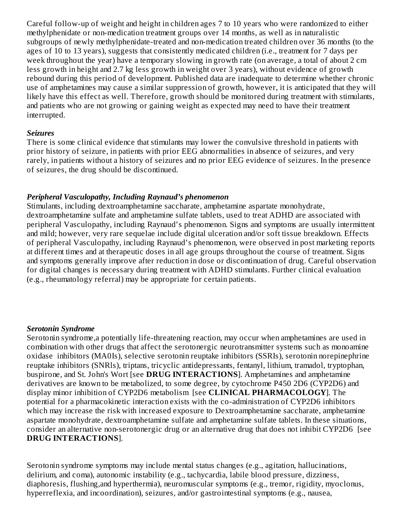Careful follow-up of weight and height in children ages 7 to 10 years who were randomized to either methylphenidate or non-medication treatment groups over 14 months, as well as in naturalistic subgroups of newly methylphenidate-treated and non-medication treated children over 36 months (to the ages of 10 to 13 years), suggests that consistently medicated children (i.e., treatment for 7 days per week throughout the year) have a temporary slowing in growth rate (on average, a total of about 2 cm less growth in height and 2.7 kg less growth in weight over 3 years), without evidence of growth rebound during this period of development. Published data are inadequate to determine whether chronic use of amphetamines may cause a similar suppression of growth, however, it is anticipated that they will likely have this effect as well. Therefore, growth should be monitored during treatment with stimulants, and patients who are not growing or gaining weight as expected may need to have their treatment interrupted.

#### *Seizures*

There is some clinical evidence that stimulants may lower the convulsive threshold in patients with prior history of seizure, in patients with prior EEG abnormalities in absence of seizures, and very rarely, in patients without a history of seizures and no prior EEG evidence of seizures. In the presence of seizures, the drug should be discontinued.

#### *Peripheral Vasculopathy, Including Raynaud's phenomenon*

Stimulants, including dextroamphetamine saccharate, amphetamine aspartate monohydrate, dextroamphetamine sulfate and amphetamine sulfate tablets, used to treat ADHD are associated with peripheral Vasculopathy, including Raynaud's phenomenon. Signs and symptoms are usually intermittent and mild; however, very rare sequelae include digital ulceration and/or soft tissue breakdown. Effects of peripheral Vasculopathy, including Raynaud's phenomenon, were observed in post marketing reports at different times and at therapeutic doses in all age groups throughout the course of treatment. Signs and symptoms generally improve after reduction in dose or discontinuation of drug. Careful observation for digital changes is necessary during treatment with ADHD stimulants. Further clinical evaluation (e.g., rheumatology referral) may be appropriate for certain patients.

#### *Serotonin Syndrome*

Serotonin syndrome,a potentially life-threatening reaction, may occur when amphetamines are used in combination with other drugs that affect the serotonergic neurotransmitter systems such as monoamine oxidase inhibitors (MA0Is), selective serotonin reuptake inhibitors (SSRIs), serotonin norepinephrine reuptake inhibitors (SNRls), triptans, tricyclic antidepressants, fentanyl, lithium, tramadol, tryptophan, buspirone, and St. John's Wort [see **DRUG INTERACTIONS**]. Amphetamines and amphetamine derivatives are known to be metabolized, to some degree, by cytochrome P450 2D6 (CYP2D6) and display minor inhibition of CYP2D6 metabolism [see **CLINICAL PHARMACOLOGY**]. The potential for a pharmacokinetic interaction exists with the co-administration of CYP2D6 inhibitors which may increase the risk with increased exposure to Dextroamphetamine saccharate, amphetamine aspartate monohydrate, dextroamphetamine sulfate and amphetamine sulfate tablets. In these situations, consider an alternative non-serotonergic drug or an alternative drug that does not inhibit CYP2D6 [see **DRUG INTERACTIONS**].

Serotonin syndrome symptoms may include mental status changes (e.g., agitation, hallucinations, delirium, and coma), autonomic instability (e.g., tachycardia, labile blood pressure, dizziness, diaphoresis, flushing,and hyperthermia), neuromuscular symptoms (e.g., tremor, rigidity, myoclonus, hyperreflexia, and incoordination), seizures, and/or gastrointestinal symptoms (e.g., nausea,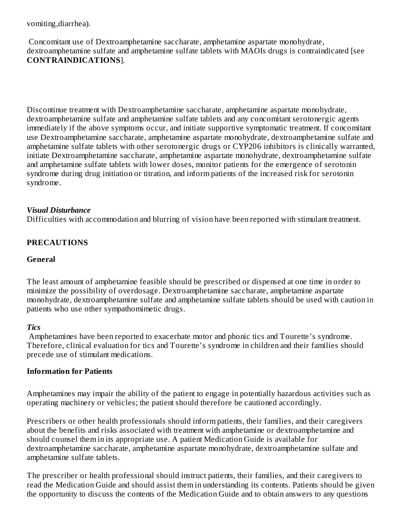### vomiting,diarrhea).

Concomitant use of Dextroamphetamine saccharate, amphetamine aspartate monohydrate, dextroamphetamine sulfate and amphetamine sulfate tablets with MAOIs drugs is contraindicated [see **CONTRAINDICATIONS**].

Discontinue treatment with Dextroamphetamine saccharate, amphetamine aspartate monohydrate, dextroamphetamine sulfate and amphetamine sulfate tablets and any concomitant serotonergic agents immediately if the above symptoms occur, and initiate supportive symptomatic treatment. If concomitant use Dextroamphetamine saccharate, amphetamine aspartate monohydrate, dextroamphetamine sulfate and amphetamine sulfate tablets with other serotonergic drugs or CYP206 inhibitors is clinically warranted, initiate Dextroamphetamine saccharate, amphetamine aspartate monohydrate, dextroamphetamine sulfate and amphetamine sulfate tablets with lower doses, monitor patients for the emergence of serotonin syndrome during drug initiation or titration, and inform patients of the increased risk for serotonin syndrome.

### *Visual Disturbance*

Difficulties with accommodation and blurring of vision have been reported with stimulant treatment.

## **PRECAUTIONS**

### **General**

The least amount of amphetamine feasible should be prescribed or dispensed at one time in order to minimize the possibility of overdosage. Dextroamphetamine saccharate, amphetamine aspartate monohydrate, dextroamphetamine sulfate and amphetamine sulfate tablets should be used with caution in patients who use other sympathomimetic drugs.

#### *Tics*

Amphetamines have been reported to exacerbate motor and phonic tics and Tourette's syndrome. Therefore, clinical evaluation for tics and Tourette's syndrome in children and their families should precede use of stimulant medications.

#### **Information for Patients**

Amphetamines may impair the ability of the patient to engage in potentially hazardous activities such as operating machinery or vehicles; the patient should therefore be cautioned accordingly.

Prescribers or other health professionals should inform patients, their families, and their caregivers about the benefits and risks associated with treatment with amphetamine or dextroamphetamine and should counsel them in its appropriate use. A patient Medication Guide is available for dextroamphetamine saccharate, amphetamine aspartate monohydrate, dextroamphetamine sulfate and amphetamine sulfate tablets.

The prescriber or health professional should instruct patients, their families, and their caregivers to read the Medication Guide and should assist them in understanding its contents. Patients should be given the opportunity to discuss the contents of the Medication Guide and to obtain answers to any questions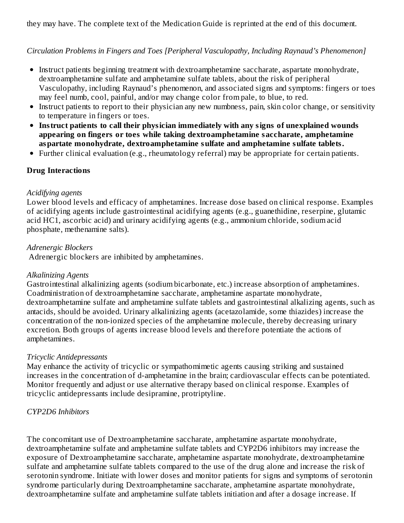they may have. The complete text of the Medication Guide is reprinted at the end of this document.

*Circulation Problems in Fingers and Toes [Peripheral Vasculopathy, Including Raynaud's Phenomenon]*

- Instruct patients beginning treatment with dextroamphetamine saccharate, aspartate monohydrate, dextroamphetamine sulfate and amphetamine sulfate tablets, about the risk of peripheral Vasculopathy, including Raynaud's phenomenon, and associated signs and symptoms: fingers or toes may feel numb, cool, painful, and/or may change color from pale, to blue, to red.
- Instruct patients to report to their physician any new numbness, pain, skin color change, or sensitivity to temperature in fingers or toes.
- **Instruct patients to call their physician immediately with any signs of unexplained wounds appearing on fingers or toes while taking dextroamphetamine saccharate, amphetamine aspartate monohydrate, dextroamphetamine sulfate and amphetamine sulfate tablets.**
- Further clinical evaluation (e.g., rheumatology referral) may be appropriate for certain patients.

## **Drug Interactions**

### *Acidifying agents*

Lower blood levels and efficacy of amphetamines. Increase dose based on clinical response. Examples of acidifying agents include gastrointestinal acidifying agents (e.g., guanethidine, reserpine, glutamic acid HC1, ascorbic acid) and urinary acidifying agents (e.g., ammonium chloride, sodium acid phosphate, methenamine salts).

## *Adrenergic Blockers*

Adrenergic blockers are inhibited by amphetamines.

## *Alkalinizing Agents*

Gastrointestinal alkalinizing agents (sodium bicarbonate, etc.) increase absorption of amphetamines. Coadministration of dextroamphetamine saccharate, amphetamine aspartate monohydrate, dextroamphetamine sulfate and amphetamine sulfate tablets and gastrointestinal alkalizing agents, such as antacids, should be avoided. Urinary alkalinizing agents (acetazolamide, some thiazides) increase the concentration of the non-ionized species of the amphetamine molecule, thereby decreasing urinary excretion. Both groups of agents increase blood levels and therefore potentiate the actions of amphetamines.

## *Tricyclic Antidepressants*

May enhance the activity of tricyclic or sympathomimetic agents causing striking and sustained increases in the concentration of d-amphetamine in the brain; cardiovascular effects can be potentiated. Monitor frequently and adjust or use alternative therapy based on clinical response. Examples of tricyclic antidepressants include desipramine, protriptyline.

## *CYP2D6 Inhibitors*

The concomitant use of Dextroamphetamine saccharate, amphetamine aspartate monohydrate, dextroamphetamine sulfate and amphetamine sulfate tablets and CYP2D6 inhibitors may increase the exposure of Dextroamphetamine saccharate, amphetamine aspartate monohydrate, dextroamphetamine sulfate and amphetamine sulfate tablets compared to the use of the drug alone and increase the risk of serotonin syndrome. Initiate with lower doses and monitor patients for signs and symptoms of serotonin syndrome particularly during Dextroamphetamine saccharate, amphetamine aspartate monohydrate, dextroamphetamine sulfate and amphetamine sulfate tablets initiation and after a dosage increase. If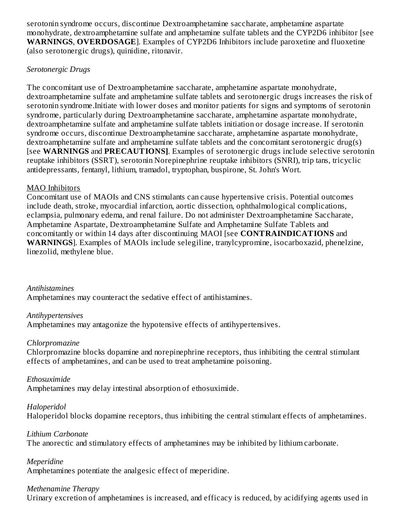serotonin syndrome occurs, discontinue Dextroamphetamine saccharate, amphetamine aspartate monohydrate, dextroamphetamine sulfate and amphetamine sulfate tablets and the CYP2D6 inhibitor [see **WARNINGS**, **OVERDOSAGE**]. Examples of CYP2D6 Inhibitors include paroxetine and fluoxetine (also serotonergic drugs), quinidine, ritonavir.

#### *Serotonergic Drugs*

The concomitant use of Dextroamphetamine saccharate, amphetamine aspartate monohydrate, dextroamphetamine sulfate and amphetamine sulfate tablets and serotonergic drugs increases the risk of serotonin syndrome.Initiate with lower doses and monitor patients for signs and symptoms of serotonin syndrome, particularly during Dextroamphetamine saccharate, amphetamine aspartate monohydrate, dextroamphetamine sulfate and amphetamine sulfate tablets initiation or dosage increase. If serotonin syndrome occurs, discontinue Dextroamphetamine saccharate, amphetamine aspartate monohydrate, dextroamphetamine sulfate and amphetamine sulfate tablets and the concomitant serotonergic drug(s) [see **WARNINGS** and **PRECAUTIONS]**. Examples of serotonergic drugs include selective serotonin reuptake inhibitors (SSRT), serotonin Norepinephrine reuptake inhibitors (SNRI), trip tans, tricyclic antidepressants, fentanyl, lithium, tramadol, tryptophan, buspirone, St. John's Wort.

### MAO Inhibitors

Concomitant use of MAOIs and CNS stimulants can cause hypertensive crisis. Potential outcomes include death, stroke, myocardial infarction, aortic dissection, ophthalmological complications, eclampsia, pulmonary edema, and renal failure. Do not administer Dextroamphetamine Saccharate, Amphetamine Aspartate, Dextroamphetamine Sulfate and Amphetamine Sulfate Tablets and concomitantly or within 14 days after discontinuing MAOI [see **CONTRAINDICATIONS** and **WARNINGS**]. Examples of MAOIs include selegiline, tranylcypromine, isocarboxazid, phenelzine, linezolid, methylene blue.

*Antihistamines* Amphetamines may counteract the sedative effect of antihistamines.

## *Antihypertensives*

Amphetamines may antagonize the hypotensive effects of antihypertensives.

## *Chlorpromazine*

Chlorpromazine blocks dopamine and norepinephrine receptors, thus inhibiting the central stimulant effects of amphetamines, and can be used to treat amphetamine poisoning.

## *Ethosuximide*

Amphetamines may delay intestinal absorption of ethosuximide.

## *Haloperidol*

Haloperidol blocks dopamine receptors, thus inhibiting the central stimulant effects of amphetamines.

#### *Lithium Carbonate*

The anorectic and stimulatory effects of amphetamines may be inhibited by lithium carbonate.

## *Meperidine*

Amphetamines potentiate the analgesic effect of meperidine.

## *Methenamine Therapy*

Urinary excretion of amphetamines is increased, and efficacy is reduced, by acidifying agents used in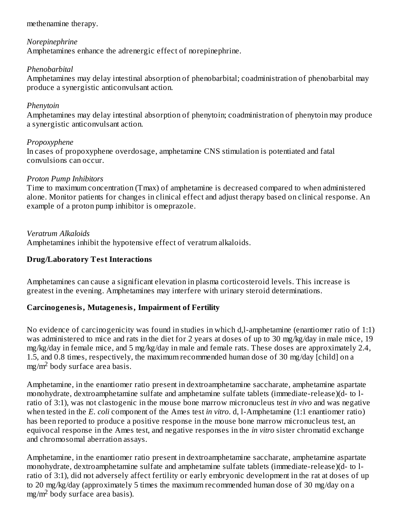#### methenamine therapy.

#### *Norepinephrine*

Amphetamines enhance the adrenergic effect of norepinephrine.

#### *Phenobarbital*

Amphetamines may delay intestinal absorption of phenobarbital; coadministration of phenobarbital may produce a synergistic anticonvulsant action.

#### *Phenytoin*

Amphetamines may delay intestinal absorption of phenytoin; coadministration of phenytoin may produce a synergistic anticonvulsant action.

#### *Propoxyphene*

In cases of propoxyphene overdosage, amphetamine CNS stimulation is potentiated and fatal convulsions can occur.

#### *Proton Pump Inhibitors*

Time to maximum concentration (Tmax) of amphetamine is decreased compared to when administered alone. Monitor patients for changes in clinical effect and adjust therapy based on clinical response. An example of a proton pump inhibitor is omeprazole.

#### *Veratrum Alkaloids*

Amphetamines inhibit the hypotensive effect of veratrum alkaloids.

#### **Drug/Laboratory Test Interactions**

Amphetamines can cause a significant elevation in plasma corticosteroid levels. This increase is greatest in the evening. Amphetamines may interfere with urinary steroid determinations.

#### **Carcinogenesis, Mutagenesis, Impairment of Fertility**

No evidence of carcinogenicity was found in studies in which d,l-amphetamine (enantiomer ratio of 1:1) was administered to mice and rats in the diet for 2 years at doses of up to 30 mg/kg/day in male mice, 19 mg/kg/day in female mice, and 5 mg/kg/day in male and female rats. These doses are approximately 2.4, 1.5, and 0.8 times, respectively, the maximum recommended human dose of 30 mg/day [child] on a  $mg/m<sup>2</sup>$  body surface area basis.

Amphetamine, in the enantiomer ratio present in dextroamphetamine saccharate, amphetamine aspartate monohydrate, dextroamphetamine sulfate and amphetamine sulfate tablets (immediate-release)(d- to lratio of 3:1), was not clastogenic in the mouse bone marrow micronucleus test *in vivo* and was negative when tested in the *E. coli* component of the Ames test *in vitro*. d, l-Amphetamine (1:1 enantiomer ratio) has been reported to produce a positive response in the mouse bone marrow micronucleus test, an equivocal response in the Ames test, and negative responses in the *in vitro* sister chromatid exchange and chromosomal aberration assays.

Amphetamine, in the enantiomer ratio present in dextroamphetamine saccharate, amphetamine aspartate monohydrate, dextroamphetamine sulfate and amphetamine sulfate tablets (immediate-release)(d- to lratio of 3:1), did not adversely affect fertility or early embryonic development in the rat at doses of up to 20 mg/kg/day (approximately 5 times the maximum recommended human dose of 30 mg/day on a  $mg/m^2$  body surface area basis).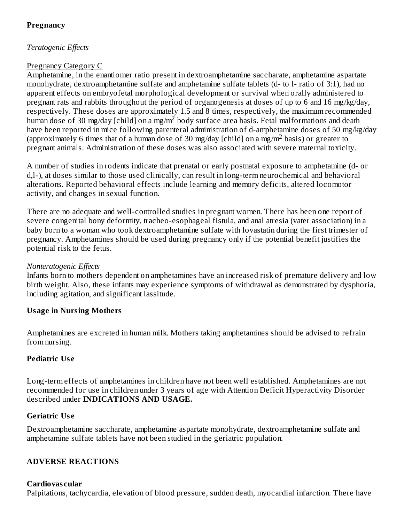## **Pregnancy**

## *Teratogenic Effects*

#### Pregnancy Category C

Amphetamine, in the enantiomer ratio present in dextroamphetamine saccharate, amphetamine aspartate monohydrate, dextroamphetamine sulfate and amphetamine sulfate tablets (d- to l- ratio of 3:1), had no apparent effects on embryofetal morphological development or survival when orally administered to pregnant rats and rabbits throughout the period of organogenesis at doses of up to 6 and 16 mg/kg/day, respectively. These doses are approximately 1.5 and 8 times, respectively, the maximum recommended human dose of 30 mg/day [child] on a mg/m<sup>2</sup> body surface area basis. Fetal malformations and death have been reported in mice following parenteral administration of d-amphetamine doses of 50 mg/kg/day (approximately 6 times that of a human dose of 30 mg/day [child] on a mg/m<sup>2</sup> basis) or greater to pregnant animals. Administration of these doses was also associated with severe maternal toxicity.

A number of studies in rodents indicate that prenatal or early postnatal exposure to amphetamine (d- or d,l-), at doses similar to those used clinically, can result in long-term neurochemical and behavioral alterations. Reported behavioral effects include learning and memory deficits, altered locomotor activity, and changes in sexual function.

There are no adequate and well-controlled studies in pregnant women. There has been one report of severe congenital bony deformity, tracheo-esophageal fistula, and anal atresia (vater association) in a baby born to a woman who took dextroamphetamine sulfate with lovastatin during the first trimester of pregnancy. Amphetamines should be used during pregnancy only if the potential benefit justifies the potential risk to the fetus.

#### *Nonteratogenic Effects*

Infants born to mothers dependent on amphetamines have an increased risk of premature delivery and low birth weight. Also, these infants may experience symptoms of withdrawal as demonstrated by dysphoria, including agitation, and significant lassitude.

#### **Usage in Nursing Mothers**

Amphetamines are excreted in human milk. Mothers taking amphetamines should be advised to refrain from nursing.

## **Pediatric Us e**

Long-term effects of amphetamines in children have not been well established. Amphetamines are not recommended for use in children under 3 years of age with Attention Deficit Hyperactivity Disorder described under **INDICATIONS AND USAGE.**

#### **Geriatric Us e**

Dextroamphetamine saccharate, amphetamine aspartate monohydrate, dextroamphetamine sulfate and amphetamine sulfate tablets have not been studied in the geriatric population.

## **ADVERSE REACTIONS**

#### **Cardiovas cular**

Palpitations, tachycardia, elevation of blood pressure, sudden death, myocardial infarction. There have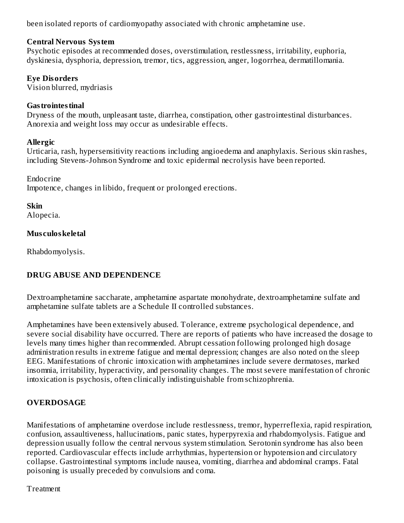been isolated reports of cardiomyopathy associated with chronic amphetamine use.

#### **Central Nervous System**

Psychotic episodes at recommended doses, overstimulation, restlessness, irritability, euphoria, dyskinesia, dysphoria, depression, tremor, tics, aggression, anger, logorrhea, dermatillomania.

### **Eye Disorders**

Vision blurred, mydriasis

## **Gastrointestinal**

Dryness of the mouth, unpleasant taste, diarrhea, constipation, other gastrointestinal disturbances. Anorexia and weight loss may occur as undesirable effects.

## **Allergic**

Urticaria, rash, hypersensitivity reactions including angioedema and anaphylaxis. Serious skin rashes, including Stevens-Johnson Syndrome and toxic epidermal necrolysis have been reported.

Endocrine

Impotence, changes in libido, frequent or prolonged erections.

### **Skin**

Alopecia.

## **Mus culoskeletal**

Rhabdomyolysis.

# **DRUG ABUSE AND DEPENDENCE**

Dextroamphetamine saccharate, amphetamine aspartate monohydrate, dextroamphetamine sulfate and amphetamine sulfate tablets are a Schedule II controlled substances.

Amphetamines have been extensively abused. Tolerance, extreme psychological dependence, and severe social disability have occurred. There are reports of patients who have increased the dosage to levels many times higher than recommended. Abrupt cessation following prolonged high dosage administration results in extreme fatigue and mental depression; changes are also noted on the sleep EEG. Manifestations of chronic intoxication with amphetamines include severe dermatoses, marked insomnia, irritability, hyperactivity, and personality changes. The most severe manifestation of chronic intoxication is psychosis, often clinically indistinguishable from schizophrenia.

# **OVERDOSAGE**

Manifestations of amphetamine overdose include restlessness, tremor, hyperreflexia, rapid respiration, confusion, assaultiveness, hallucinations, panic states, hyperpyrexia and rhabdomyolysis. Fatigue and depression usually follow the central nervous system stimulation. Serotonin syndrome has also been reported. Cardiovascular effects include arrhythmias, hypertension or hypotension and circulatory collapse. Gastrointestinal symptoms include nausea, vomiting, diarrhea and abdominal cramps. Fatal poisoning is usually preceded by convulsions and coma.

**Treatment**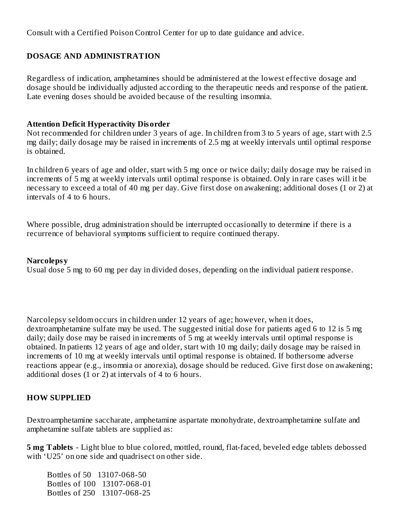Consult with a Certified Poison Control Center for up to date guidance and advice.

## **DOSAGE AND ADMINISTRATION**

Regardless of indication, amphetamines should be administered at the lowest effective dosage and dosage should be individually adjusted according to the therapeutic needs and response of the patient. Late evening doses should be avoided because of the resulting insomnia.

### **Attention Deficit Hyperactivity Disorder**

Not recommended for children under 3 years of age. In children from 3 to 5 years of age, start with 2.5 mg daily; daily dosage may be raised in increments of 2.5 mg at weekly intervals until optimal response is obtained.

In children 6 years of age and older, start with 5 mg once or twice daily; daily dosage may be raised in increments of 5 mg at weekly intervals until optimal response is obtained. Only in rare cases will it be necessary to exceed a total of 40 mg per day. Give first dose on awakening; additional doses (1 or 2) at intervals of 4 to 6 hours.

Where possible, drug administration should be interrupted occasionally to determine if there is a recurrence of behavioral symptoms sufficient to require continued therapy.

#### **Narcolepsy**

Usual dose 5 mg to 60 mg per day in divided doses, depending on the individual patient response.

Narcolepsy seldom occurs in children under 12 years of age; however, when it does, dextroamphetamine sulfate may be used. The suggested initial dose for patients aged 6 to 12 is 5 mg daily; daily dose may be raised in increments of 5 mg at weekly intervals until optimal response is obtained. In patients 12 years of age and older, start with 10 mg daily; daily dosage may be raised in increments of 10 mg at weekly intervals until optimal response is obtained. If bothersome adverse reactions appear (e.g., insomnia or anorexia), dosage should be reduced. Give first dose on awakening; additional doses (1 or 2) at intervals of 4 to 6 hours.

## **HOW SUPPLIED**

Dextroamphetamine saccharate, amphetamine aspartate monohydrate, dextroamphetamine sulfate and amphetamine sulfate tablets are supplied as:

**5 mg Tablets** - Light blue to blue colored, mottled, round, flat-faced, beveled edge tablets debossed with 'U25' on one side and quadrisect on other side.

Bottles of 50 13107-068-50 Bottles of 100 13107-068-01 Bottles of 250 13107-068-25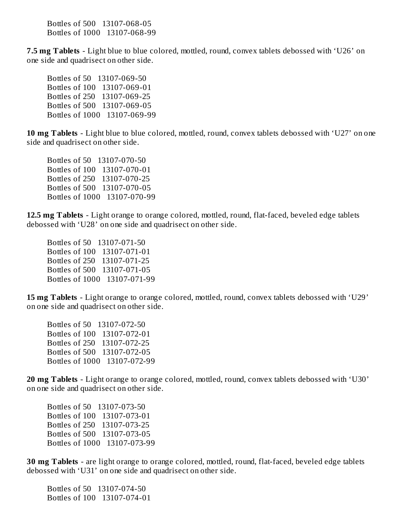Bottles of 500 13107-068-05 Bottles of 1000 13107-068-99

**7.5 mg Tablets** - Light blue to blue colored, mottled, round, convex tablets debossed with 'U26' on one side and quadrisect on other side.

Bottles of 50 13107-069-50 Bottles of 100 13107-069-01 Bottles of 250 13107-069-25 Bottles of 500 13107-069-05 Bottles of 1000 13107-069-99

**10 mg Tablets** - Light blue to blue colored, mottled, round, convex tablets debossed with 'U27' on one side and quadrisect on other side.

Bottles of 50 13107-070-50 Bottles of 100 13107-070-01 Bottles of 250 13107-070-25 Bottles of 500 13107-070-05 Bottles of 1000 13107-070-99

**12.5 mg Tablets** - Light orange to orange colored, mottled, round, flat-faced, beveled edge tablets debossed with 'U28' on one side and quadrisect on other side.

Bottles of 50 13107-071-50 Bottles of 100 13107-071-01 Bottles of 250 13107-071-25 Bottles of 500 13107-071-05 Bottles of 1000 13107-071-99

**15 mg Tablets** - Light orange to orange colored, mottled, round, convex tablets debossed with 'U29' on one side and quadrisect on other side.

Bottles of 50 13107-072-50 Bottles of 100 13107-072-01 Bottles of 250 13107-072-25 Bottles of 500 13107-072-05 Bottles of 1000 13107-072-99

**20 mg Tablets** - Light orange to orange colored, mottled, round, convex tablets debossed with 'U30' on one side and quadrisect on other side.

Bottles of 50 13107-073-50 Bottles of 100 13107-073-01 Bottles of 250 13107-073-25 Bottles of 500 13107-073-05 Bottles of 1000 13107-073-99

**30 mg Tablets** - are light orange to orange colored, mottled, round, flat-faced, beveled edge tablets debossed with 'U31' on one side and quadrisect on other side.

Bottles of 50 13107-074-50 Bottles of 100 13107-074-01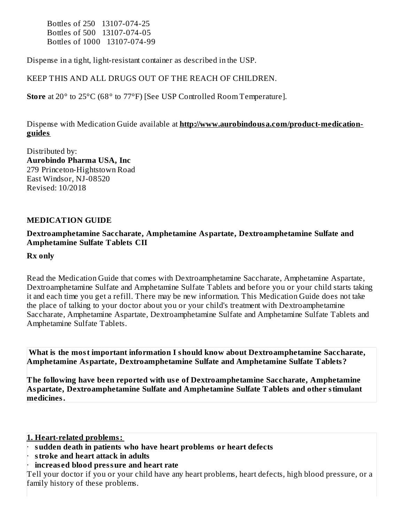Bottles of 250 13107-074-25 Bottles of 500 13107-074-05 Bottles of 1000 13107-074-99

Dispense in a tight, light-resistant container as described in the USP.

KEEP THIS AND ALL DRUGS OUT OF THE REACH OF CHILDREN.

**Store** at 20° to 25°C (68° to 77°F) [See USP Controlled Room Temperature].

Dispense with Medication Guide available at **http://www.aurobindousa.com/product-medicationguides**

Distributed by: **Aurobindo Pharma USA, Inc** 279 Princeton-Hightstown Road East Windsor, NJ-08520 Revised: 10/2018

## **MEDICATION GUIDE**

### **Dextroamphetamine Saccharate, Amphetamine Aspartate, Dextroamphetamine Sulfate and Amphetamine Sulfate Tablets CII**

### **Rx only**

Read the Medication Guide that comes with Dextroamphetamine Saccharate, Amphetamine Aspartate, Dextroamphetamine Sulfate and Amphetamine Sulfate Tablets and before you or your child starts taking it and each time you get a refill. There may be new information. This Medication Guide does not take the place of talking to your doctor about you or your child's treatment with Dextroamphetamine Saccharate, Amphetamine Aspartate, Dextroamphetamine Sulfate and Amphetamine Sulfate Tablets and Amphetamine Sulfate Tablets.

**What is the most important information I should know about Dextroamphetamine Saccharate, Amphetamine Aspartate, Dextroamphetamine Sulfate and Amphetamine Sulfate Tablets?**

**The following have been reported with us e of Dextroamphetamine Saccharate, Amphetamine Aspartate, Dextroamphetamine Sulfate and Amphetamine Sulfate Tablets and other stimulant medicines.**

**1. Heart-related problems:**

- · **sudden death in patients who have heart problems or heart defects**
- · **stroke and heart attack in adults**
- · **increas ed blood pressure and heart rate**

Tell your doctor if you or your child have any heart problems, heart defects, high blood pressure, or a family history of these problems.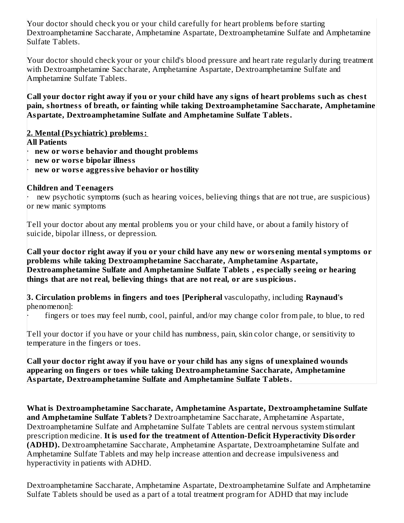Your doctor should check you or your child carefully for heart problems before starting Dextroamphetamine Saccharate, Amphetamine Aspartate, Dextroamphetamine Sulfate and Amphetamine Sulfate Tablets.

Your doctor should check your or your child's blood pressure and heart rate regularly during treatment with Dextroamphetamine Saccharate, Amphetamine Aspartate, Dextroamphetamine Sulfate and Amphetamine Sulfate Tablets.

Call vour doctor right away if you or your child have any signs of heart problems such as chest **pain, shortness of breath, or fainting while taking Dextroamphetamine Saccharate, Amphetamine Aspartate, Dextroamphetamine Sulfate and Amphetamine Sulfate Tablets.**

**2. Mental (Psychiatric) problems:**

**All Patients**

· **new or wors e behavior and thought problems**

· **new or wors e bipolar illness**

· **new or wors e aggressive behavior or hostility**

## **Children and Teenagers**

new psychotic symptoms (such as hearing voices, believing things that are not true, are suspicious) or new manic symptoms

Tell your doctor about any mental problems you or your child have, or about a family history of suicide, bipolar illness, or depression.

Call your doctor right away if you or your child have any new or worsening mental symptoms or **problems while taking Dextroamphetamine Saccharate, Amphetamine Aspartate, Dextroamphetamine Sulfate and Amphetamine Sulfate Tablets , especially s eeing or hearing things that are not real, believing things that are not real, or are suspicious.**

**3. Circulation problems in fingers and toes [Peripheral** vasculopathy, including **Raynaud's** phenomenon]:

fingers or toes may feel numb, cool, painful, and/or may change color from pale, to blue, to red

Tell your doctor if you have or your child has numbness, pain, skin color change, or sensitivity to temperature in the fingers or toes.

**Call your doctor right away if you have or your child has any signs of unexplained wounds appearing on fingers or toes while taking Dextroamphetamine Saccharate, Amphetamine Aspartate, Dextroamphetamine Sulfate and Amphetamine Sulfate Tablets.**

**What is Dextroamphetamine Saccharate, Amphetamine Aspartate, Dextroamphetamine Sulfate and Amphetamine Sulfate Tablets?** Dextroamphetamine Saccharate, Amphetamine Aspartate, Dextroamphetamine Sulfate and Amphetamine Sulfate Tablets are central nervous system stimulant prescription medicine. **It is us ed for the treatment of Attention-Deficit Hyperactivity Disorder (ADHD).** Dextroamphetamine Saccharate, Amphetamine Aspartate, Dextroamphetamine Sulfate and Amphetamine Sulfate Tablets and may help increase attention and decrease impulsiveness and hyperactivity in patients with ADHD.

Dextroamphetamine Saccharate, Amphetamine Aspartate, Dextroamphetamine Sulfate and Amphetamine Sulfate Tablets should be used as a part of a total treatment program for ADHD that may include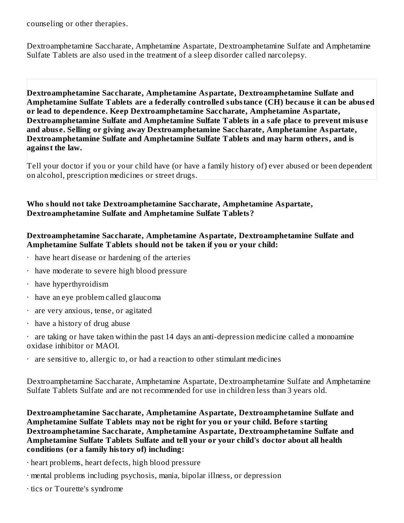counseling or other therapies.

Dextroamphetamine Saccharate, Amphetamine Aspartate, Dextroamphetamine Sulfate and Amphetamine Sulfate Tablets are also used in the treatment of a sleep disorder called narcolepsy.

**Dextroamphetamine Saccharate, Amphetamine Aspartate, Dextroamphetamine Sulfate and Amphetamine Sulfate Tablets are a federally controlled substance (CH) becaus e it can be abus ed or lead to dependence. Keep Dextroamphetamine Saccharate, Amphetamine Aspartate, Dextroamphetamine Sulfate and Amphetamine Sulfate Tablets in a safe place to prevent misus e and abus e. Selling or giving away Dextroamphetamine Saccharate, Amphetamine Aspartate, Dextroamphetamine Sulfate and Amphetamine Sulfate Tablets and may harm others, and is against the law.**

Tell your doctor if you or your child have (or have a family history of) ever abused or been dependent on alcohol, prescription medicines or street drugs.

## **Who should not take Dextroamphetamine Saccharate, Amphetamine Aspartate, Dextroamphetamine Sulfate and Amphetamine Sulfate Tablets?**

### **Dextroamphetamine Saccharate, Amphetamine Aspartate, Dextroamphetamine Sulfate and Amphetamine Sulfate Tablets should not be taken if you or your child:**

- · have heart disease or hardening of the arteries
- · have moderate to severe high blood pressure
- · have hyperthyroidism
- · have an eye problem called glaucoma
- · are very anxious, tense, or agitated
- · have a history of drug abuse

· are taking or have taken within the past 14 days an anti-depression medicine called a monoamine oxidase inhibitor or MAOI.

· are sensitive to, allergic to, or had a reaction to other stimulant medicines

Dextroamphetamine Saccharate, Amphetamine Aspartate, Dextroamphetamine Sulfate and Amphetamine Sulfate Tablets Sulfate and are not recommended for use in children less than 3 years old.

**Dextroamphetamine Saccharate, Amphetamine Aspartate, Dextroamphetamine Sulfate and Amphetamine Sulfate Tablets may not be right for you or your child. Before starting Dextroamphetamine Saccharate, Amphetamine Aspartate, Dextroamphetamine Sulfate and Amphetamine Sulfate Tablets Sulfate and tell your or your child's doctor about all health conditions (or a family history of) including:**

- · heart problems, heart defects, high blood pressure
- · mental problems including psychosis, mania, bipolar illness, or depression
- · tics or Tourette's syndrome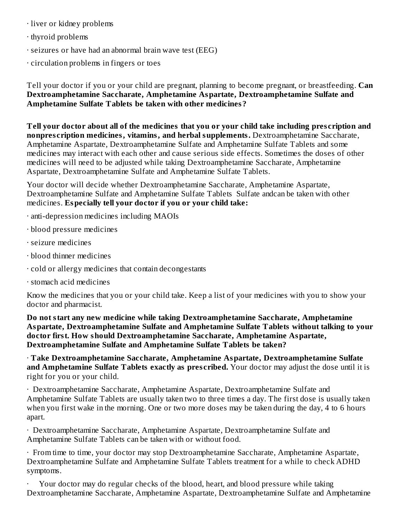- · liver or kidney problems
- · thyroid problems
- · seizures or have had an abnormal brain wave test (EEG)
- · circulation problems in fingers or toes

Tell your doctor if you or your child are pregnant, planning to become pregnant, or breastfeeding. **Can Dextroamphetamine Saccharate, Amphetamine Aspartate, Dextroamphetamine Sulfate and Amphetamine Sulfate Tablets be taken with other medicines?**

Tell your doctor about all of the medicines that you or your child take including prescription and **nonpres cription medicines, vitamins, and herbal supplements.** Dextroamphetamine Saccharate, Amphetamine Aspartate, Dextroamphetamine Sulfate and Amphetamine Sulfate Tablets and some medicines may interact with each other and cause serious side effects. Sometimes the doses of other medicines will need to be adjusted while taking Dextroamphetamine Saccharate, Amphetamine Aspartate, Dextroamphetamine Sulfate and Amphetamine Sulfate Tablets.

Your doctor will decide whether Dextroamphetamine Saccharate, Amphetamine Aspartate, Dextroamphetamine Sulfate and Amphetamine Sulfate Tablets Sulfate andcan be taken with other medicines. **Especially tell your doctor if you or your child take:**

- · anti-depression medicines including MAOIs
- · blood pressure medicines
- · seizure medicines
- · blood thinner medicines
- · cold or allergy medicines that contain decongestants
- · stomach acid medicines

Know the medicines that you or your child take. Keep a list of your medicines with you to show your doctor and pharmacist.

**Do not start any new medicine while taking Dextroamphetamine Saccharate, Amphetamine Aspartate, Dextroamphetamine Sulfate and Amphetamine Sulfate Tablets without talking to your doctor first. How should Dextroamphetamine Saccharate, Amphetamine Aspartate, Dextroamphetamine Sulfate and Amphetamine Sulfate Tablets be taken?**

· **Take Dextroamphetamine Saccharate, Amphetamine Aspartate, Dextroamphetamine Sulfate and Amphetamine Sulfate Tablets exactly as pres cribed.** Your doctor may adjust the dose until it is right for you or your child.

· Dextroamphetamine Saccharate, Amphetamine Aspartate, Dextroamphetamine Sulfate and Amphetamine Sulfate Tablets are usually taken two to three times a day. The first dose is usually taken when you first wake in the morning. One or two more doses may be taken during the day, 4 to 6 hours apart.

· Dextroamphetamine Saccharate, Amphetamine Aspartate, Dextroamphetamine Sulfate and Amphetamine Sulfate Tablets can be taken with or without food.

· From time to time, your doctor may stop Dextroamphetamine Saccharate, Amphetamine Aspartate, Dextroamphetamine Sulfate and Amphetamine Sulfate Tablets treatment for a while to check ADHD symptoms.

Your doctor may do regular checks of the blood, heart, and blood pressure while taking Dextroamphetamine Saccharate, Amphetamine Aspartate, Dextroamphetamine Sulfate and Amphetamine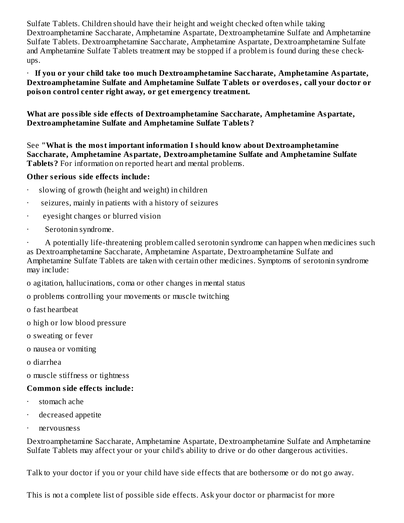Sulfate Tablets. Children should have their height and weight checked often while taking Dextroamphetamine Saccharate, Amphetamine Aspartate, Dextroamphetamine Sulfate and Amphetamine Sulfate Tablets. Dextroamphetamine Saccharate, Amphetamine Aspartate, Dextroamphetamine Sulfate and Amphetamine Sulfate Tablets treatment may be stopped if a problem is found during these checkups.

· **If you or your child take too much Dextroamphetamine Saccharate, Amphetamine Aspartate, Dextroamphetamine Sulfate and Amphetamine Sulfate Tablets or overdos es, call your doctor or poison control center right away, or get emergency treatment.**

**What are possible side effects of Dextroamphetamine Saccharate, Amphetamine Aspartate, Dextroamphetamine Sulfate and Amphetamine Sulfate Tablets?**

See **"What is the most important information I should know about Dextroamphetamine Saccharate, Amphetamine Aspartate, Dextroamphetamine Sulfate and Amphetamine Sulfate Tablets?** For information on reported heart and mental problems.

### **Other s erious side effects include:**

- · slowing of growth (height and weight) in children
- · seizures, mainly in patients with a history of seizures
- · eyesight changes or blurred vision
- · Serotonin syndrome.

· A potentially life-threatening problem called serotonin syndrome can happen when medicines such as Dextroamphetamine Saccharate, Amphetamine Aspartate, Dextroamphetamine Sulfate and Amphetamine Sulfate Tablets are taken with certain other medicines. Symptoms of serotonin syndrome may include:

- o agitation, hallucinations, coma or other changes in mental status
- o problems controlling your movements or muscle twitching
- o fast heartbeat
- o high or low blood pressure
- o sweating or fever
- o nausea or vomiting
- o diarrhea

o muscle stiffness or tightness

## **Common side effects include:**

- · stomach ache
- · decreased appetite
- nervousness

Dextroamphetamine Saccharate, Amphetamine Aspartate, Dextroamphetamine Sulfate and Amphetamine Sulfate Tablets may affect your or your child's ability to drive or do other dangerous activities.

Talk to your doctor if you or your child have side effects that are bothersome or do not go away.

This is not a complete list of possible side effects. Ask your doctor or pharmacist for more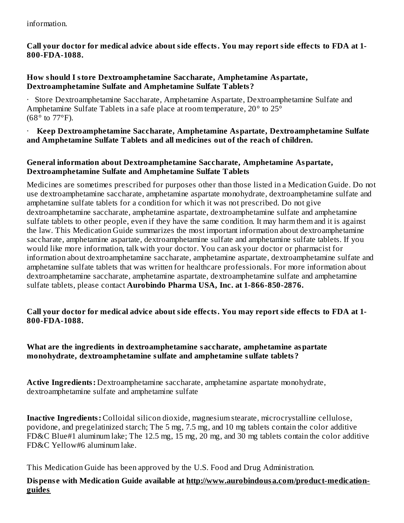#### information.

#### **Call your doctor for medical advice about side effects. You may report side effects to FDA at 1- 800-FDA-1088.**

#### **How should I store Dextroamphetamine Saccharate, Amphetamine Aspartate, Dextroamphetamine Sulfate and Amphetamine Sulfate Tablets?**

· Store Dextroamphetamine Saccharate, Amphetamine Aspartate, Dextroamphetamine Sulfate and Amphetamine Sulfate Tablets in a safe place at room temperature, 20° to 25°  $(68°$  to  $77°$ F).

· **Keep Dextroamphetamine Saccharate, Amphetamine Aspartate, Dextroamphetamine Sulfate and Amphetamine Sulfate Tablets and all medicines out of the reach of children.**

### **General information about Dextroamphetamine Saccharate, Amphetamine Aspartate, Dextroamphetamine Sulfate and Amphetamine Sulfate Tablets**

Medicines are sometimes prescribed for purposes other than those listed in a Medication Guide. Do not use dextroamphetamine saccharate, amphetamine aspartate monohydrate, dextroamphetamine sulfate and amphetamine sulfate tablets for a condition for which it was not prescribed. Do not give dextroamphetamine saccharate, amphetamine aspartate, dextroamphetamine sulfate and amphetamine sulfate tablets to other people, even if they have the same condition. It may harm them and it is against the law. This Medication Guide summarizes the most important information about dextroamphetamine saccharate, amphetamine aspartate, dextroamphetamine sulfate and amphetamine sulfate tablets. If you would like more information, talk with your doctor. You can ask your doctor or pharmacist for information about dextroamphetamine saccharate, amphetamine aspartate, dextroamphetamine sulfate and amphetamine sulfate tablets that was written for healthcare professionals. For more information about dextroamphetamine saccharate, amphetamine aspartate, dextroamphetamine sulfate and amphetamine sulfate tablets, please contact **Aurobindo Pharma USA, Inc. at 1-866-850-2876.**

### **Call your doctor for medical advice about side effects. You may report side effects to FDA at 1- 800-FDA-1088.**

### **What are the ingredients in dextroamphetamine saccharate, amphetamine aspartate monohydrate, dextroamphetamine sulfate and amphetamine sulfate tablets?**

**Active Ingredients:** Dextroamphetamine saccharate, amphetamine aspartate monohydrate, dextroamphetamine sulfate and amphetamine sulfate

**Inactive Ingredients:** Colloidal silicon dioxide, magnesium stearate, microcrystalline cellulose, povidone, and pregelatinized starch; The 5 mg, 7.5 mg, and 10 mg tablets contain the color additive FD&C Blue#1 aluminum lake; The 12.5 mg, 15 mg, 20 mg, and 30 mg tablets contain the color additive FD&C Yellow#6 aluminum lake.

This Medication Guide has been approved by the U.S. Food and Drug Administration.

**Dispens e with Medication Guide available at http://www.aurobindousa.com/product-medicationguides**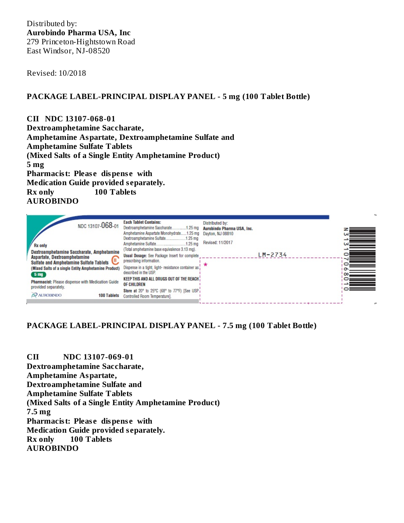Distributed by: **Aurobindo Pharma USA, Inc** 279 Princeton-Hightstown Road East Windsor, NJ-08520

Revised: 10/2018

### **PACKAGE LABEL-PRINCIPAL DISPLAY PANEL - 5 mg (100 Tablet Bottle)**

**CII NDC 13107-068-01 Dextroamphetamine Saccharate, Amphetamine Aspartate, Dextroamphetamine Sulfate and Amphetamine Sulfate Tablets (Mixed Salts of a Single Entity Amphetamine Product) 5 mg Pharmacist: Pleas e dispens e with Medication Guide provided s eparately. Rx only 100 Tablets AUROBINDO**

| NDC 13107-068-01<br><b>Rx</b> only<br>Dextroamphetamine Saccharate, Amphetamine<br>Aspartate, Dextroamphetamine<br>Sulfate and Amphetamine Sulfate Tablets<br>(Mixed Salts of a single Entity Amphetamine Product)<br>5 <sub>mq</sub><br>Pharmacist: Please dispense with Medication Guide<br>provided separately.<br>AUROBINDO<br>100 Tablets | <b>Each Tablet Contains:</b><br>Dextroamphetamine Saccharate1.25 mg<br>Amphetamine Aspartate Monohydrate1.25 mg<br>Dextroamphetamine Sulfate1.25 mg<br>(Total amphetamine base equivalence 3.13 mg).<br><b>Usual Dosage:</b> See Package Insert for complete<br>prescribing information.<br>Dispense in a tight, light- resistance container as<br>described in the USP.<br>KEEP THIS AND ALL DRUGS OUT OF THE REACH.<br>OF CHILDREN<br>Store at 20° to 25°C (68° to 77°F) [See USP]<br>Controlled Room Temperature]. | Distributed by:<br>Aurobindo Pharma USA, Inc.<br>Davton, NJ 08810<br>Revised: 11/2017<br>$LM-2734$ | $\infty$ |  |  |  |  |
|------------------------------------------------------------------------------------------------------------------------------------------------------------------------------------------------------------------------------------------------------------------------------------------------------------------------------------------------|-----------------------------------------------------------------------------------------------------------------------------------------------------------------------------------------------------------------------------------------------------------------------------------------------------------------------------------------------------------------------------------------------------------------------------------------------------------------------------------------------------------------------|----------------------------------------------------------------------------------------------------|----------|--|--|--|--|
|------------------------------------------------------------------------------------------------------------------------------------------------------------------------------------------------------------------------------------------------------------------------------------------------------------------------------------------------|-----------------------------------------------------------------------------------------------------------------------------------------------------------------------------------------------------------------------------------------------------------------------------------------------------------------------------------------------------------------------------------------------------------------------------------------------------------------------------------------------------------------------|----------------------------------------------------------------------------------------------------|----------|--|--|--|--|

#### **PACKAGE LABEL-PRINCIPAL DISPLAY PANEL - 7.5 mg (100 Tablet Bottle)**

**CII NDC 13107-069-01 Dextroamphetamine Saccharate, Amphetamine Aspartate, Dextroamphetamine Sulfate and Amphetamine Sulfate Tablets (Mixed Salts of a Single Entity Amphetamine Product) 7.5 mg Pharmacist: Pleas e dispens e with Medication Guide provided s eparately. Rx only 100 Tablets AUROBINDO**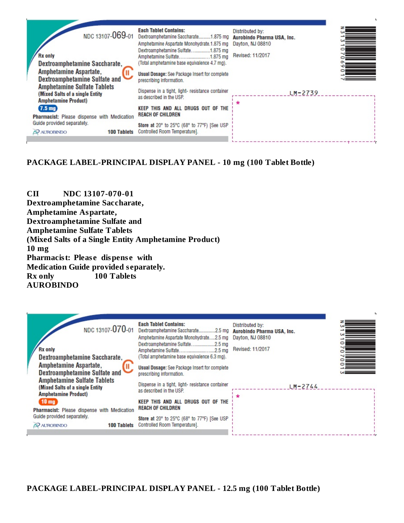| (Total amphetamine base equivalence 4.7 mg).<br>Dextroamphetamine Saccharate,<br>Amphetamine Aspartate,<br>Usual Dosage: See Package Insert for complete<br><b>Dextroamphetamine Sulfate and</b><br>prescribing information.<br><b>Amphetamine Sulfate Tablets</b><br>Dispense in a tight, light- resistance container<br>$LM-2739$<br>(Mixed Salts of a single Entity)<br>as described in the USP. | <b>Amphetamine Product)</b><br>(7.5 <sub>mq</sub> )<br>KEEP THIS AND ALL DRUGS OUT OF THE<br><b>REACH OF CHILDREN</b><br><b>Pharmacist: Please dispense with Medication</b><br>Guide provided separately.<br>Store at 20° to 25°C (68° to 77°F) [See USP<br>Controlled Room Temperature].<br><b>100 Tablets</b><br><b>AUROBINDO</b> | NDC 13107-069-01<br><b>Rx</b> only | <b>Each Tablet Contains:</b><br>Dextroamphetamine Saccharate1.875 mg<br>Amphetamine Aspartate Monohydrate.1.875 mg Dayton, NJ 08810<br>Dextroamphetamine Sulfate1.875 mg<br>Amphetamine Sulfate1.875 mg | Distributed by:<br>Aurobindo Pharma USA, Inc.<br>Revised: 11/2017 |
|-----------------------------------------------------------------------------------------------------------------------------------------------------------------------------------------------------------------------------------------------------------------------------------------------------------------------------------------------------------------------------------------------------|-------------------------------------------------------------------------------------------------------------------------------------------------------------------------------------------------------------------------------------------------------------------------------------------------------------------------------------|------------------------------------|---------------------------------------------------------------------------------------------------------------------------------------------------------------------------------------------------------|-------------------------------------------------------------------|
|                                                                                                                                                                                                                                                                                                                                                                                                     |                                                                                                                                                                                                                                                                                                                                     |                                    |                                                                                                                                                                                                         |                                                                   |

### **PACKAGE LABEL-PRINCIPAL DISPLAY PANEL - 10 mg (100 Tablet Bottle)**

**CII NDC 13107-070-01 Dextroamphetamine Saccharate, Amphetamine Aspartate, Dextroamphetamine Sulfate and Amphetamine Sulfate Tablets (Mixed Salts of a Single Entity Amphetamine Product) 10 mg Pharmacist: Pleas e dispens e with Medication Guide provided s eparately. Rx only 100 Tablets AUROBINDO**



**PACKAGE LABEL-PRINCIPAL DISPLAY PANEL - 12.5 mg (100 Tablet Bottle)**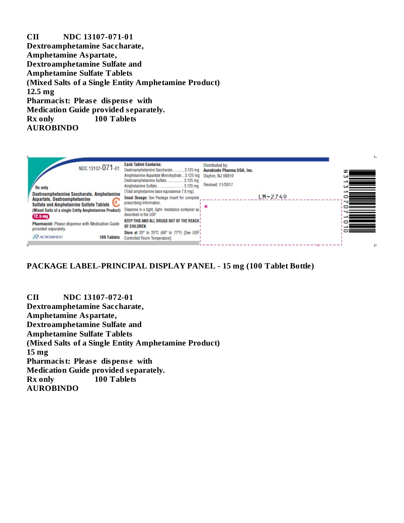**CII NDC 13107-071-01 Dextroamphetamine Saccharate, Amphetamine Aspartate, Dextroamphetamine Sulfate and Amphetamine Sulfate Tablets (Mixed Salts of a Single Entity Amphetamine Product) 12.5 mg Pharmacist: Pleas e dispens e with Medication Guide provided s eparately. Rx only 100 Tablets AUROBINDO**



#### **PACKAGE LABEL-PRINCIPAL DISPLAY PANEL - 15 mg (100 Tablet Bottle)**

**CII NDC 13107-072-01 Dextroamphetamine Saccharate, Amphetamine Aspartate, Dextroamphetamine Sulfate and Amphetamine Sulfate Tablets (Mixed Salts of a Single Entity Amphetamine Product) 15 mg Pharmacist: Pleas e dispens e with Medication Guide provided s eparately. Rx only 100 Tablets AUROBINDO**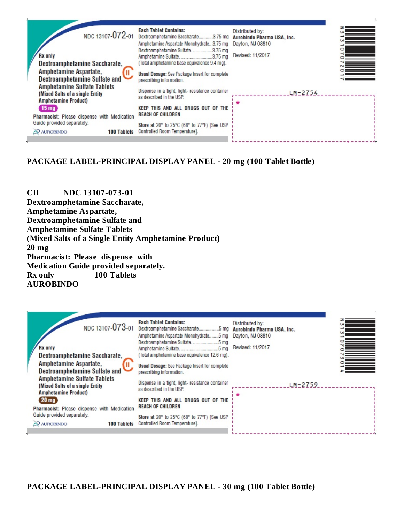| Amphetamine Aspartate,<br>Usual Dosage: See Package Insert for complete<br><b>Dextroamphetamine Sulfate and</b><br>prescribing information.<br><b>Amphetamine Sulfate Tablets</b><br>Dispense in a tight, light- resistance container<br>$LM - 2754$<br>(Mixed Salts of a single Entity)<br>as described in the USP.<br><b>Amphetamine Product)</b><br>15 <sub>mg</sub><br>KEEP THIS AND ALL DRUGS OUT OF THE<br><b>REACH OF CHILDREN</b><br>Pharmacist: Please dispense with Medication<br>Guide provided separately.<br>Store at 20° to 25°C (68° to 77°F) [See USP | NDC 13107-072-01<br><b>Rx</b> only<br>Dextroamphetamine Saccharate, | <b>Each Tablet Contains:</b><br>Dextroamphetamine Saccharate3.75 mg<br>Amphetamine Aspartate Monohydrate3.75 mg<br>Dextroamphetamine Sulfate3.75 mg<br>Amphetamine Sulfate3.75 mg<br>(Total amphetamine base equivalence 9.4 mg). | Distributed by:<br>Aurobindo Pharma USA, Inc.<br>Dayton, NJ 08810<br>Revised: 11/2017 |  |
|-----------------------------------------------------------------------------------------------------------------------------------------------------------------------------------------------------------------------------------------------------------------------------------------------------------------------------------------------------------------------------------------------------------------------------------------------------------------------------------------------------------------------------------------------------------------------|---------------------------------------------------------------------|-----------------------------------------------------------------------------------------------------------------------------------------------------------------------------------------------------------------------------------|---------------------------------------------------------------------------------------|--|
|                                                                                                                                                                                                                                                                                                                                                                                                                                                                                                                                                                       |                                                                     |                                                                                                                                                                                                                                   |                                                                                       |  |
|                                                                                                                                                                                                                                                                                                                                                                                                                                                                                                                                                                       | 100 Tablets<br><b>AUROBINDO</b>                                     | Controlled Room Temperature].                                                                                                                                                                                                     |                                                                                       |  |

#### **PACKAGE LABEL-PRINCIPAL DISPLAY PANEL - 20 mg (100 Tablet Bottle)**

**CII NDC 13107-073-01 Dextroamphetamine Saccharate, Amphetamine Aspartate, Dextroamphetamine Sulfate and Amphetamine Sulfate Tablets (Mixed Salts of a Single Entity Amphetamine Product) 20 mg Pharmacist: Pleas e dispens e with Medication Guide provided s eparately. Rx only 100 Tablets AUROBINDO**



**PACKAGE LABEL-PRINCIPAL DISPLAY PANEL - 30 mg (100 Tablet Bottle)**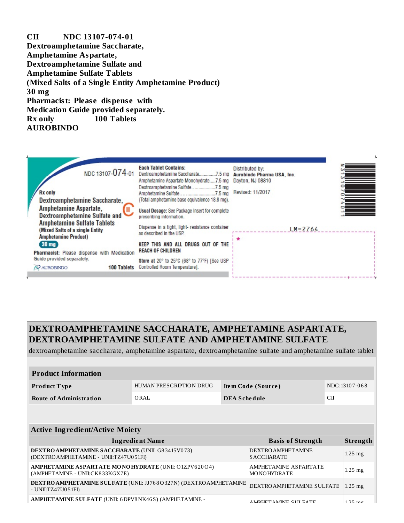**CII NDC 13107-074-01 Dextroamphetamine Saccharate, Amphetamine Aspartate, Dextroamphetamine Sulfate and Amphetamine Sulfate Tablets (Mixed Salts of a Single Entity Amphetamine Product) 30 mg Pharmacist: Pleas e dispens e with Medication Guide provided s eparately. Rx only 100 Tablets AUROBINDO**



# **DEXTROAMPHETAMINE SACCHARATE, AMPHETAMINE ASPARTATE, DEXTROAMPHETAMINE SULFATE AND AMPHETAMINE SULFATE**

| <b>Product Information</b>                                                                     |                         |                     |                                                |    |                  |  |
|------------------------------------------------------------------------------------------------|-------------------------|---------------------|------------------------------------------------|----|------------------|--|
| Product Type                                                                                   | HUMAN PRESCRIPTION DRUG |                     | Item Code (Source)                             |    | NDC:13107-068    |  |
| <b>Route of Administration</b>                                                                 | ORAL                    | <b>DEA Schedule</b> |                                                | CП |                  |  |
|                                                                                                |                         |                     |                                                |    |                  |  |
| <b>Active Ingredient/Active Moiety</b>                                                         |                         |                     |                                                |    |                  |  |
| <b>Ingredient Name</b>                                                                         |                         |                     | <b>Basis of Strength</b>                       |    | Strength         |  |
| DEXTRO AMPHETAMINE SACCHARATE (UNII: G83415V073)<br>(DEXTROAMPHETAMINE - UNII:TZ47U051FI)      |                         |                     | <b>DEXTRO AMPHETAMINE</b><br><b>SACCHARATE</b> |    | $1.25$ mg        |  |
| <b>AMPHETAMINE ASPARTATE MONOHYDRATE (UNII: O1ZPV62004)</b><br>(AMPHETAMINE - UNII:CK833KGX7E) |                         |                     | AMPHETAMINE ASPARTATE<br><b>MONOHYDRATE</b>    |    | $1.25$ mg        |  |
| <b>DEXTRO AMPHETAMINE SULFATE (UNII: JJ768O327N) (DEXTRO AMPHETAMINE</b><br>- UNII:TZ47U051FI) |                         |                     | DEXTRO AMPHETAMINE SULFATE                     |    | $1.25$ mg        |  |
| AMPHETAMINE SULFATE (UNII: 6 DPV8 NK46S) (AMPHETAMINE -                                        |                         |                     | AMDHETAMINE SHILLATE                           |    | $1.25 \text{ m}$ |  |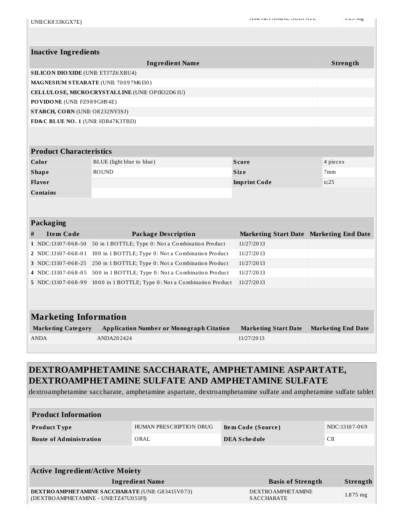| <b>Inactive Ingredients</b>                 |                                                     |                                         |                           |  |  |
|---------------------------------------------|-----------------------------------------------------|-----------------------------------------|---------------------------|--|--|
|                                             | <b>Ingredient Name</b>                              |                                         | Strength                  |  |  |
| <b>SILICON DIO XIDE (UNII: ETJ7Z6 XBU4)</b> |                                                     |                                         |                           |  |  |
| MAGNESIUM STEARATE (UNII: 70097M6I30)       |                                                     |                                         |                           |  |  |
|                                             | CELLULOSE, MICRO CRYSTALLINE (UNII: OP1R32D61U)     |                                         |                           |  |  |
| PO VIDO NE (UNII: FZ989GH94E)               |                                                     |                                         |                           |  |  |
| STARCH, CORN (UNII: O8232NY3SJ)             |                                                     |                                         |                           |  |  |
| FD&C BLUE NO. 1 (UNII: H3R47K3TBD)          |                                                     |                                         |                           |  |  |
|                                             |                                                     |                                         |                           |  |  |
|                                             |                                                     |                                         |                           |  |  |
| <b>Product Characteristics</b>              |                                                     |                                         |                           |  |  |
| Color                                       | BLUE (light blue to blue)                           | <b>Score</b>                            | 4 pieces                  |  |  |
| <b>Shape</b>                                | <b>ROUND</b>                                        | <b>Size</b>                             | 7 <sub>mm</sub>           |  |  |
| Flavor                                      |                                                     | <b>Imprint Code</b>                     | u:25                      |  |  |
| <b>Contains</b>                             |                                                     |                                         |                           |  |  |
|                                             |                                                     |                                         |                           |  |  |
|                                             |                                                     |                                         |                           |  |  |
| Packaging                                   |                                                     |                                         |                           |  |  |
| <b>Item Code</b><br>#                       | <b>Package Description</b>                          | Marketing Start Date Marketing End Date |                           |  |  |
| 1 NDC:13107-068-50                          | 50 in 1 BOTTLE; Type 0: Not a Combination Product   | 11/27/2013                              |                           |  |  |
| 2 NDC:13107-068-01                          | 100 in 1 BOTTLE; Type 0: Not a Combination Product  | 11/27/2013                              |                           |  |  |
| 3 NDC:13107-068-25                          | 250 in 1 BOTTLE; Type 0: Not a Combination Product  | 11/27/2013                              |                           |  |  |
| 4 NDC:13107-068-05                          | 500 in 1 BOTTLE; Type 0: Not a Combination Product  | 11/27/2013                              |                           |  |  |
| 5 NDC:13107-068-99                          | 1000 in 1 BOTTLE; Type 0: Not a Combination Product | 11/27/2013                              |                           |  |  |
|                                             |                                                     |                                         |                           |  |  |
|                                             |                                                     |                                         |                           |  |  |
| <b>Marketing Information</b>                |                                                     |                                         |                           |  |  |
| <b>Marketing Category</b>                   | <b>Application Number or Monograph Citation</b>     | <b>Marketing Start Date</b>             | <b>Marketing End Date</b> |  |  |
| <b>ANDA</b>                                 | ANDA202424                                          | 11/27/2013                              |                           |  |  |
|                                             |                                                     |                                         |                           |  |  |

# **DEXTROAMPHETAMINE SACCHARATE, AMPHETAMINE ASPARTATE, DEXTROAMPHETAMINE SULFATE AND AMPHETAMINE SULFATE**

| <b>Product Information</b>             |                         |                     |                          |    |                 |  |
|----------------------------------------|-------------------------|---------------------|--------------------------|----|-----------------|--|
| <b>Product Type</b>                    | HUMAN PRESCRIPTION DRUG |                     | Item Code (Source)       |    | NDC:13107-069   |  |
| <b>Route of Administration</b>         | ORAL                    | <b>DEA Schedule</b> |                          | CП |                 |  |
|                                        |                         |                     |                          |    |                 |  |
| <b>Active Ingredient/Active Moiety</b> |                         |                     |                          |    |                 |  |
|                                        |                         |                     |                          |    |                 |  |
|                                        | <b>Ingredient Name</b>  |                     | <b>Basis of Strength</b> |    | <b>Strength</b> |  |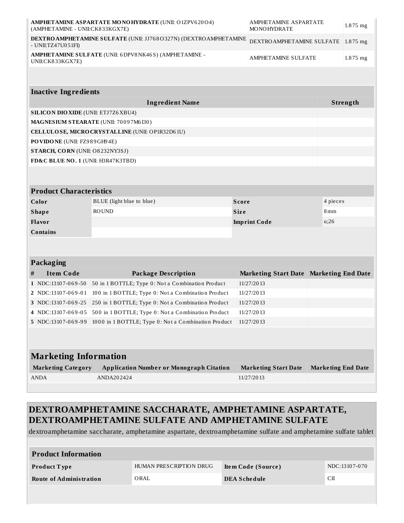|                                             | <b>AMPHETAMINE ASPARTATE MONOHYDRATE (UNII: O1ZPV620O4)</b><br>AMPHETAMINE ASPARTATE<br>(AMPHETAMINE - UNII:CK833KGX7E)<br><b>MONOHYDRATE</b> |                                         |                           | $1.875$ mg |
|---------------------------------------------|-----------------------------------------------------------------------------------------------------------------------------------------------|-----------------------------------------|---------------------------|------------|
| - UNII:TZ47U051FI)                          | DEXTRO AMPHETAMINE SULFATE (UNII: JJ768O327N) (DEXTRO AMPHETAMINE                                                                             | DEXTRO AMPHETAMINE SULFATE              |                           | $1.875$ mg |
| UNII:CK833KGX7E)                            | AMPHETAMINE SULFATE (UNII: 6DPV8NK46S) (AMPHETAMINE -                                                                                         | <b>AMPHETAMINE SULFATE</b>              |                           | $1.875$ mg |
|                                             |                                                                                                                                               |                                         |                           |            |
| <b>Inactive Ingredients</b>                 |                                                                                                                                               |                                         |                           |            |
|                                             | <b>Ingredient Name</b>                                                                                                                        |                                         |                           | Strength   |
| <b>SILICON DIO XIDE (UNII: ETJ7Z6 XBU4)</b> |                                                                                                                                               |                                         |                           |            |
|                                             | MAGNESIUM STEARATE (UNII: 70097M6I30)                                                                                                         |                                         |                           |            |
|                                             | CELLULOSE, MICRO CRYSTALLINE (UNII: OP1R32D61U)                                                                                               |                                         |                           |            |
| PO VIDO NE (UNII: FZ989GH94E)               |                                                                                                                                               |                                         |                           |            |
| STARCH, CORN (UNII: O8232NY3SJ)             |                                                                                                                                               |                                         |                           |            |
| FD&C BLUE NO. 1 (UNII: H3R47K3TBD)          |                                                                                                                                               |                                         |                           |            |
|                                             |                                                                                                                                               |                                         |                           |            |
| <b>Product Characteristics</b>              |                                                                                                                                               |                                         |                           |            |
| Color                                       | BLUE (light blue to blue)                                                                                                                     | <b>Score</b>                            | 4 pieces                  |            |
| <b>Shape</b>                                | <b>ROUND</b>                                                                                                                                  | <b>Size</b>                             | 8 <sub>mm</sub>           |            |
| Flavor                                      |                                                                                                                                               | <b>Imprint Code</b>                     | u;26                      |            |
| Contains                                    |                                                                                                                                               |                                         |                           |            |
|                                             |                                                                                                                                               |                                         |                           |            |
| Packaging                                   |                                                                                                                                               |                                         |                           |            |
| <b>Item Code</b><br>#                       | <b>Package Description</b>                                                                                                                    | Marketing Start Date Marketing End Date |                           |            |
| $1 NDC:13107-069-50$                        | 50 in 1 BOTTLE; Type 0: Not a Combination Product                                                                                             | 11/27/2013                              |                           |            |
| 2   NDC:13107-069-01                        | 100 in 1 BOTTLE; Type 0: Not a Combination Product                                                                                            | 11/27/2013                              |                           |            |
| <b>3</b>   NDC:13107-069-25                 | 250 in 1 BOTTLE; Type 0: Not a Combination Product                                                                                            | 11/27/2013                              |                           |            |
| 4   NDC:13107-069-05                        | 500 in 1 BOTTLE: Type 0: Not a Combination Product                                                                                            | 11/27/2013                              |                           |            |
|                                             | 5 NDC:13107-069-99 1000 in 1 BOTTLE; Type 0: Not a Combination Product 11/27/2013                                                             |                                         |                           |            |
|                                             |                                                                                                                                               |                                         |                           |            |
|                                             |                                                                                                                                               |                                         |                           |            |
| <b>Marketing Information</b>                |                                                                                                                                               |                                         |                           |            |
| <b>Marketing Category</b>                   | <b>Application Number or Monograph Citation</b>                                                                                               | <b>Marketing Start Date</b>             | <b>Marketing End Date</b> |            |
| <b>ANDA</b>                                 | ANDA202424                                                                                                                                    | 11/27/2013                              |                           |            |
|                                             |                                                                                                                                               |                                         |                           |            |

# **DEXTROAMPHETAMINE SACCHARATE, AMPHETAMINE ASPARTATE, DEXTROAMPHETAMINE SULFATE AND AMPHETAMINE SULFATE**

| <b>Product Information</b> |                         |                    |               |  |  |  |  |
|----------------------------|-------------------------|--------------------|---------------|--|--|--|--|
| <b>Product Type</b>        | HUMAN PRESCRIPTION DRUG | Item Code (Source) | NDC:13107-070 |  |  |  |  |
| Route of Administration    | ORAL                    | DEA Schedule       | CП            |  |  |  |  |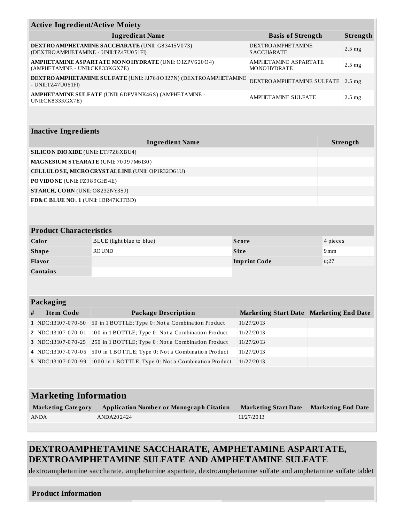| <b>Active Ingredient/Active Moiety</b>      |                                                                   |             |                                                    |                           |                  |
|---------------------------------------------|-------------------------------------------------------------------|-------------|----------------------------------------------------|---------------------------|------------------|
|                                             | <b>Ingredient Name</b>                                            |             | <b>Basis of Strength</b>                           |                           | Strength         |
| (DEXTRO AMPHETAMINE - UNII:TZ47U051FI)      | <b>DEXTRO AMPHETAMINE SACCHARATE (UNII: G83415V073)</b>           |             | <b>DEXTRO AMPHETAMINE</b><br><b>SACCHARATE</b>     |                           | $2.5$ mg         |
| (AMPHETAMINE - UNII:CK833KGX7E)             | <b>AMPHETAMINE ASPARTATE MONOHYDRATE (UNII: O1ZPV620O4)</b>       |             | <b>AMPHETAMINE ASPARTATE</b><br><b>MONOHYDRATE</b> |                           | $2.5 \text{ mg}$ |
| - UNII:TZ47U051FI)                          | DEXTRO AMPHETAMINE SULFATE (UNII: JJ768O327N) (DEXTRO AMPHETAMINE |             | DEXTRO AMPHETAMINE SULFATE                         |                           | $2.5 \text{ mg}$ |
| UNII:CK833KGX7E)                            | AMPHETAMINE SULFATE (UNII: 6DPV8NK46S) (AMPHETAMINE -             |             | <b>AMPHETAMINE SULFATE</b>                         |                           | $2.5$ mg         |
|                                             |                                                                   |             |                                                    |                           |                  |
| <b>Inactive Ingredients</b>                 |                                                                   |             |                                                    |                           |                  |
|                                             | <b>Ingredient Name</b>                                            |             |                                                    |                           | Strength         |
| <b>SILICON DIO XIDE (UNII: ETJ7Z6 XBU4)</b> |                                                                   |             |                                                    |                           |                  |
|                                             | MAGNESIUM STEARATE (UNII: 70097M6I30)                             |             |                                                    |                           |                  |
|                                             | CELLULOSE, MICRO CRYSTALLINE (UNII: OP1R32D61U)                   |             |                                                    |                           |                  |
| PO VIDONE (UNII: FZ989GH94E)                |                                                                   |             |                                                    |                           |                  |
| STARCH, CORN (UNII: O8232NY3SJ)             |                                                                   |             |                                                    |                           |                  |
| FD&C BLUE NO. 1 (UNII: H3R47K3TBD)          |                                                                   |             |                                                    |                           |                  |
|                                             |                                                                   |             |                                                    |                           |                  |
| <b>Product Characteristics</b>              |                                                                   |             |                                                    |                           |                  |
| Color                                       | BLUE (light blue to blue)                                         | Score       |                                                    | 4 pieces                  |                  |
| <b>Shape</b>                                | <b>ROUND</b>                                                      | <b>Size</b> |                                                    | 9mm                       |                  |
| Flavor                                      |                                                                   |             | <b>Imprint Code</b>                                | u;27                      |                  |
| <b>Contains</b>                             |                                                                   |             |                                                    |                           |                  |
|                                             |                                                                   |             |                                                    |                           |                  |
| Packaging                                   |                                                                   |             |                                                    |                           |                  |
| #<br><b>Item Code</b>                       | <b>Package Description</b>                                        |             | Marketing Start Date Marketing End Date            |                           |                  |
| 1   NDC:13107-070-50                        | 50 in 1 BOTTLE; Type 0: Not a Combination Product                 |             | 11/27/2013                                         |                           |                  |
| 2   NDC:13107-070-01                        | 100 in 1 BOTTLE; Type 0: Not a Combination Product                |             | 11/27/2013                                         |                           |                  |
| 3 NDC:13107-070-25                          | 250 in 1 BOTTLE; Type 0: Not a Combination Product                |             | 11/27/2013                                         |                           |                  |
| 4 NDC:13107-070-05                          | 500 in 1 BOTTLE; Type 0: Not a Combination Product                |             | 11/27/2013                                         |                           |                  |
| 5 NDC:13107-070-99                          | 1000 in 1 BOTTLE; Type 0: Not a Combination Product               |             | 11/27/2013                                         |                           |                  |
|                                             |                                                                   |             |                                                    |                           |                  |
| <b>Marketing Information</b>                |                                                                   |             |                                                    |                           |                  |
| <b>Marketing Category</b>                   | <b>Application Number or Monograph Citation</b>                   |             | <b>Marketing Start Date</b>                        | <b>Marketing End Date</b> |                  |
| <b>ANDA</b>                                 | ANDA202424                                                        |             | 11/27/2013                                         |                           |                  |

# **DEXTROAMPHETAMINE SACCHARATE, AMPHETAMINE ASPARTATE, DEXTROAMPHETAMINE SULFATE AND AMPHETAMINE SULFATE**

dextroamphetamine saccharate, amphetamine aspartate, dextroamphetamine sulfate and amphetamine sulfate tablet

#### **Product Information**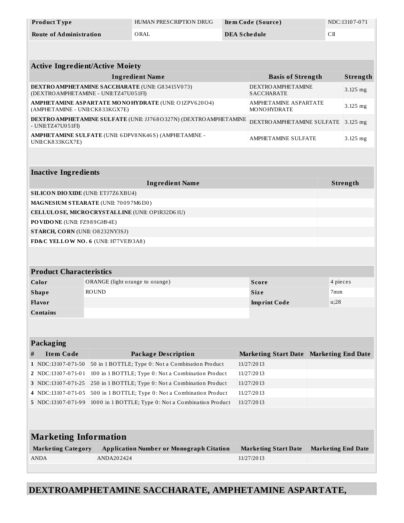| Product Type            | HUMAN PRESCRIPTION DRUG | Item Code (Source)  | NDC:13107-071 |
|-------------------------|-------------------------|---------------------|---------------|
| Route of Administration | ORAL                    | <b>DEA Schedule</b> | CП            |

| <b>Active Ingredient/Active Moiety</b>                                                           |                                                |            |  |  |  |
|--------------------------------------------------------------------------------------------------|------------------------------------------------|------------|--|--|--|
| <b>Ingredient Name</b>                                                                           | <b>Basis of Strength</b>                       | Strength   |  |  |  |
| <b>DEXTRO AMPHETAMINE SACCHARATE (UNII: G83415V073)</b><br>(DEXTROAMPHETAMINE - UNII:TZ47U051FI) | <b>DEXTRO AMPHETAMINE</b><br><b>SACCHARATE</b> | $3.125$ mg |  |  |  |
| <b>AMPHETAMINE ASPARTATE MONOHYDRATE (UNII: O1ZPV62004)</b><br>(AMPHETAMINE - UNII:CK833KGX7E)   | AMPHETAMINE ASPARTATE<br><b>MONOHYDRATE</b>    | $3.125$ mg |  |  |  |
| DEXTRO AMPHETAMINE SULFATE (UNII: JJ768O327N) (DEXTRO AMPHETAMINE<br>- UNII:TZ47U051FI)          | DEXTROAMPHETAMINE SULFATE                      | $3.125$ mg |  |  |  |
| <b>AMPHETAMINE SULFATE (UNII: 6 DPV8 NK46 S) (AMPHETAMINE -</b><br>UNII:CK833KGX7E)              | <b>AMPHETAMINE SULFATE</b>                     | $3.125$ mg |  |  |  |

| <b>Inactive Ingredients</b>                     |          |  |  |  |
|-------------------------------------------------|----------|--|--|--|
| <b>Ingredient Name</b>                          | Strength |  |  |  |
| <b>SILICON DIO XIDE</b> (UNII: ETJ7Z6 XBU4)     |          |  |  |  |
| MAGNESIUM STEARATE (UNII: 70097M6I30)           |          |  |  |  |
| CELLULOSE, MICRO CRYSTALLINE (UNII: OP1R32D61U) |          |  |  |  |
| <b>PO VIDO NE (UNII: FZ989GH94E)</b>            |          |  |  |  |
| <b>STARCH, CORN (UNII: O8232NY3SJ)</b>          |          |  |  |  |
| FD&C YELLOW NO. 6 (UNII: H77VEI93A8)            |          |  |  |  |

| <b>Product Characteristics</b> |                                 |                     |          |  |  |  |
|--------------------------------|---------------------------------|---------------------|----------|--|--|--|
| Color                          | ORANGE (light orange to orange) | Score               | 4 pieces |  |  |  |
| <b>Shape</b>                   | <b>ROUND</b>                    | <b>Size</b>         | 7mm      |  |  |  |
| Flavor                         |                                 | <b>Imprint Code</b> | u;28     |  |  |  |
| <b>Contains</b>                |                                 |                     |          |  |  |  |

|   | <b>Packaging</b>             |                                                                       |                             |                           |  |  |  |  |
|---|------------------------------|-----------------------------------------------------------------------|-----------------------------|---------------------------|--|--|--|--|
| # | <b>Item Code</b>             | <b>Package Description</b><br>Marketing Start Date Marketing End Date |                             |                           |  |  |  |  |
|   | 1 NDC:13107-071-50           | 50 in 1 BOTTLE; Type 0: Not a Combination Product                     | 11/27/2013                  |                           |  |  |  |  |
|   | 2 NDC:13107-071-01           | 100 in 1 BOTTLE; Type 0: Not a Combination Product                    | 11/27/2013                  |                           |  |  |  |  |
|   | 3 NDC:13107-071-25           | 250 in 1 BOTTLE; Type 0: Not a Combination Product                    | 11/27/2013                  |                           |  |  |  |  |
|   | 4 NDC:13107-071-05           | 500 in 1 BOTTLE; Type 0: Not a Combination Product                    | 11/27/2013                  |                           |  |  |  |  |
|   | 5 NDC:13107-071-99           | 1000 in 1 BOTTLE; Type 0: Not a Combination Product                   | 11/27/2013                  |                           |  |  |  |  |
|   |                              |                                                                       |                             |                           |  |  |  |  |
|   |                              |                                                                       |                             |                           |  |  |  |  |
|   | <b>Marketing Information</b> |                                                                       |                             |                           |  |  |  |  |
|   | <b>Marketing Category</b>    | <b>Application Number or Monograph Citation</b>                       | <b>Marketing Start Date</b> | <b>Marketing End Date</b> |  |  |  |  |
|   | <b>ANDA</b>                  | ANDA202424                                                            | 11/27/2013                  |                           |  |  |  |  |
|   |                              |                                                                       |                             |                           |  |  |  |  |

# **DEXTROAMPHETAMINE SACCHARATE, AMPHETAMINE ASPARTATE,**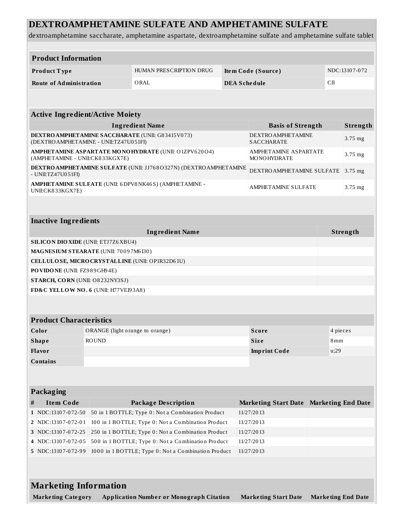# **DEXTROAMPHETAMINE SULFATE AND AMPHETAMINE SULFATE**

|   | <b>Product Information</b>                  |                                 |                                                                   |                     |                                                |               |                           |
|---|---------------------------------------------|---------------------------------|-------------------------------------------------------------------|---------------------|------------------------------------------------|---------------|---------------------------|
|   | Product Type                                |                                 | HUMAN PRESCRIPTION DRUG                                           | Item Code (Source)  |                                                | NDC:13107-072 |                           |
|   | <b>Route of Administration</b>              |                                 | ORAL                                                              | <b>DEA Schedule</b> |                                                | CП            |                           |
|   |                                             |                                 |                                                                   |                     |                                                |               |                           |
|   |                                             |                                 |                                                                   |                     |                                                |               |                           |
|   | <b>Active Ingredient/Active Moiety</b>      |                                 |                                                                   |                     |                                                |               |                           |
|   |                                             |                                 | <b>Ingredient Name</b>                                            |                     | <b>Basis of Strength</b>                       |               | Strength                  |
|   | (DEXTROAMPHETAMINE - UNII:TZ47U051FI)       |                                 | <b>DEXTRO AMPHETAMINE SACCHARATE (UNII: G83415V073)</b>           |                     | <b>DEXTRO AMPHETAMINE</b><br><b>SACCHARATE</b> |               | 3.75 mg                   |
|   | (AMPHETAMINE - UNII:CK833KGX7E)             |                                 | AMPHETAMINE ASPARTATE MONOHYDRATE (UNII: O1ZPV620O4)              |                     | AMPHETAMINE ASPARTATE<br><b>MONOHYDRATE</b>    |               | 3.75 mg                   |
|   | - UNII:TZ47U051FI)                          |                                 | DEXTRO AMPHETAMINE SULFATE (UNII: JJ768O327N) (DEXTRO AMPHETAMINE |                     | DEXTRO AMPHETAMINE SULFATE                     |               | $3.75$ mg                 |
|   | UNII:CK833KGX7E)                            |                                 | AMPHETAMINE SULFATE (UNII: 6DPV8NK46S) (AMPHETAMINE -             |                     | <b>AMPHETAMINE SULFATE</b>                     |               | $3.75$ mg                 |
|   |                                             |                                 |                                                                   |                     |                                                |               |                           |
|   | <b>Inactive Ingredients</b>                 |                                 |                                                                   |                     |                                                |               |                           |
|   |                                             |                                 | <b>Ingredient Name</b>                                            |                     |                                                |               | Strength                  |
|   | <b>SILICON DIO XIDE (UNII: ETJ7Z6 XBU4)</b> |                                 |                                                                   |                     |                                                |               |                           |
|   | MAGNESIUM STEARATE (UNII: 70097M6I30)       |                                 |                                                                   |                     |                                                |               |                           |
|   |                                             |                                 | CELLULOSE, MICRO CRYSTALLINE (UNII: OP1R32D61U)                   |                     |                                                |               |                           |
|   | PO VIDONE (UNII: FZ989GH94E)                |                                 |                                                                   |                     |                                                |               |                           |
|   | STARCH, CORN (UNII: O8232NY3SJ)             |                                 |                                                                   |                     |                                                |               |                           |
|   | FD&C YELLOW NO. 6 (UNII: H77VEI93A8)        |                                 |                                                                   |                     |                                                |               |                           |
|   |                                             |                                 |                                                                   |                     |                                                |               |                           |
|   | <b>Product Characteristics</b>              |                                 |                                                                   |                     |                                                |               |                           |
|   | Color                                       | ORANGE (light orange to orange) |                                                                   |                     | Score                                          |               | 4 pieces                  |
|   | <b>Shape</b>                                | <b>ROUND</b>                    |                                                                   | <b>Size</b>         |                                                | $8\,\rm{mm}$  |                           |
|   | Flavor                                      |                                 |                                                                   |                     | <b>Imprint Code</b>                            | u;29          |                           |
|   | <b>Contains</b>                             |                                 |                                                                   |                     |                                                |               |                           |
|   |                                             |                                 |                                                                   |                     |                                                |               |                           |
|   | Packaging                                   |                                 |                                                                   |                     |                                                |               |                           |
| # | <b>Item Code</b>                            |                                 | <b>Package Description</b>                                        |                     | Marketing Start Date Marketing End Date        |               |                           |
|   | 1 NDC:13107-072-50                          |                                 | 50 in 1 BOTTLE; Type 0: Not a Combination Product                 |                     | 11/27/2013                                     |               |                           |
|   | 2   NDC:13107-072-01                        |                                 | 100 in 1 BOTTLE; Type 0: Not a Combination Product                |                     | 11/27/2013                                     |               |                           |
|   | 3   NDC:13107-072-25                        |                                 | 250 in 1 BOTTLE; Type 0: Not a Combination Product                |                     | 11/27/2013                                     |               |                           |
| 4 | NDC:13107-072-05                            |                                 | 500 in 1 BOTTLE; Type 0: Not a Combination Product                |                     | 11/27/2013                                     |               |                           |
|   | 5   NDC:13107-072-99                        |                                 | 1000 in 1 BOTTLE; Type 0: Not a Combination Product               |                     | 11/27/2013                                     |               |                           |
|   |                                             |                                 |                                                                   |                     |                                                |               |                           |
|   | <b>Marketing Information</b>                |                                 |                                                                   |                     |                                                |               |                           |
|   | <b>Marketing Category</b>                   |                                 | <b>Application Number or Monograph Citation</b>                   |                     | <b>Marketing Start Date</b>                    |               | <b>Marketing End Date</b> |
|   |                                             |                                 |                                                                   |                     |                                                |               |                           |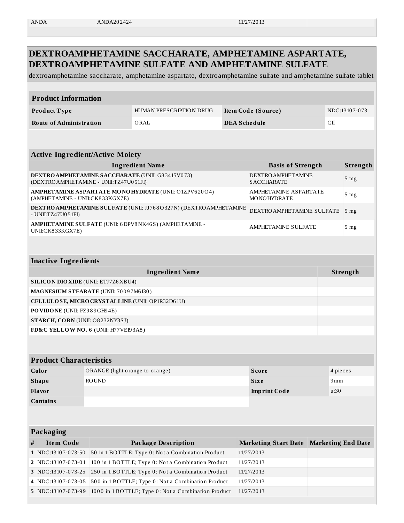| DEXTROAMPHETAMINE SACCHARATE, AMPHETAMINE ASPARTATE, |  |
|------------------------------------------------------|--|
| DEXTROAMPHETAMINE SULFATE AND AMPHETAMINE SULFATE    |  |

| <b>Product Information</b>                      |                                 |                                                                   |                     |                                                |               |                 |
|-------------------------------------------------|---------------------------------|-------------------------------------------------------------------|---------------------|------------------------------------------------|---------------|-----------------|
| Product Type                                    |                                 | HUMAN PRESCRIPTION DRUG                                           |                     | Item Code (Source)                             | NDC:13107-073 |                 |
| <b>Route of Administration</b>                  |                                 | ORAL                                                              | <b>DEA Schedule</b> |                                                | CШ            |                 |
|                                                 |                                 |                                                                   |                     |                                                |               |                 |
| <b>Active Ingredient/Active Moiety</b>          |                                 |                                                                   |                     |                                                |               |                 |
|                                                 |                                 | <b>Ingredient Name</b>                                            |                     | <b>Basis of Strength</b>                       |               | Strength        |
| (DEXTRO AMPHETAMINE - UNII:TZ47U051FI)          |                                 | <b>DEXTRO AMPHETAMINE SACCHARATE (UNII: G83415V073)</b>           |                     | <b>DEXTRO AMPHETAMINE</b><br><b>SACCHARATE</b> |               | 5 <sub>mg</sub> |
| (AMPHETAMINE - UNII:CK833KGX7E)                 |                                 | <b>AMPHETAMINE ASPARTATE MONOHYDRATE (UNII: O1ZPV620O4)</b>       |                     | AMPHETAMINE ASPARTATE<br><b>MONOHYDRATE</b>    |               | 5 <sub>mg</sub> |
| - UNII:TZ47U051FI)                              |                                 | DEXTRO AMPHETAMINE SULFATE (UNII: JJ768O327N) (DEXTRO AMPHETAMINE |                     | DEXTRO AMPHETAMINE SULFATE                     |               | 5 <sub>mg</sub> |
| UNII:CK833KGX7E)                                |                                 | AMPHETAMINE SULFATE (UNII: 6DPV8NK46S) (AMPHETAMINE -             |                     | <b>AMPHETAMINE SULFATE</b>                     |               | 5 <sub>mg</sub> |
|                                                 |                                 |                                                                   |                     |                                                |               |                 |
| <b>Inactive Ingredients</b>                     |                                 |                                                                   |                     |                                                |               |                 |
|                                                 |                                 | <b>Ingredient Name</b>                                            |                     |                                                |               | Strength        |
| <b>SILICON DIO XIDE (UNII: ETJ7Z6 XBU4)</b>     |                                 |                                                                   |                     |                                                |               |                 |
| MAGNESIUM STEARATE (UNII: 70097M6I30)           |                                 |                                                                   |                     |                                                |               |                 |
| CELLULOSE, MICRO CRYSTALLINE (UNII: OP1R32D61U) |                                 |                                                                   |                     |                                                |               |                 |
| PO VIDO NE (UNII: FZ989GH94E)                   |                                 |                                                                   |                     |                                                |               |                 |
| STARCH, CORN (UNII: O8232NY3SJ)                 |                                 |                                                                   |                     |                                                |               |                 |
| FD&C YELLOW NO. 6 (UNII: H77VEI93A8)            |                                 |                                                                   |                     |                                                |               |                 |
|                                                 |                                 |                                                                   |                     |                                                |               |                 |
| <b>Product Characteristics</b>                  |                                 |                                                                   |                     |                                                |               |                 |
| Color                                           | ORANGE (light orange to orange) |                                                                   |                     | <b>Score</b>                                   | 4 pieces      |                 |
| <b>Shape</b>                                    | <b>ROUND</b>                    |                                                                   |                     | Size                                           | 9mm           |                 |
| <b>Flavor</b>                                   |                                 |                                                                   |                     | <b>Imprint Code</b>                            | u;30          |                 |
| Contains                                        |                                 |                                                                   |                     |                                                |               |                 |
|                                                 |                                 |                                                                   |                     |                                                |               |                 |
| Packaging                                       |                                 |                                                                   |                     |                                                |               |                 |
| <b>Item Code</b><br>#                           |                                 | <b>Package Description</b>                                        |                     | Marketing Start Date   Marketing End Date      |               |                 |
| 1 NDC:13107-073-50                              |                                 | 50 in 1 BOTTLE; Type 0: Not a Combination Product                 |                     | 11/27/2013                                     |               |                 |
| 2 NDC:13107-073-01                              |                                 | 100 in 1 BOTTLE; Type 0: Not a Combination Product                |                     | 11/27/2013                                     |               |                 |
| 3 NDC:13107-073-25                              |                                 | 250 in 1 BOTTLE; Type 0: Not a Combination Product                |                     | 11/27/2013                                     |               |                 |
| NDC:13107-073-05<br>4                           |                                 | 500 in 1 BOTTLE; Type 0: Not a Combination Product                |                     | 11/27/2013                                     |               |                 |
| 5 NDC:13107-073-99                              |                                 | 1000 in 1 BOTTLE; Type 0: Not a Combination Product               |                     | 11/27/2013                                     |               |                 |
|                                                 |                                 |                                                                   |                     |                                                |               |                 |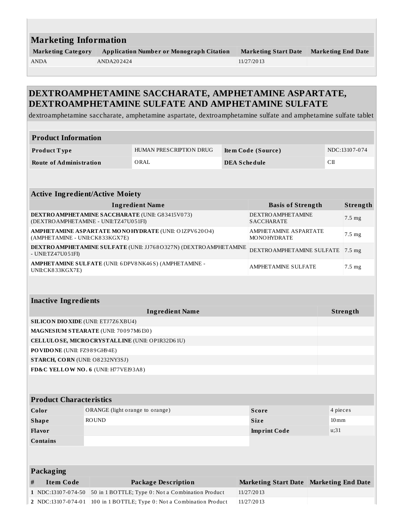| <b>Marketing Information</b>                                                                      |                                                                                                        |                                                                                                                                                                                                                            |  |                                                       |                           |                  |
|---------------------------------------------------------------------------------------------------|--------------------------------------------------------------------------------------------------------|----------------------------------------------------------------------------------------------------------------------------------------------------------------------------------------------------------------------------|--|-------------------------------------------------------|---------------------------|------------------|
| <b>Marketing Category</b>                                                                         |                                                                                                        | <b>Application Number or Monograph Citation</b>                                                                                                                                                                            |  | <b>Marketing Start Date</b>                           | <b>Marketing End Date</b> |                  |
| <b>ANDA</b>                                                                                       | ANDA202424                                                                                             |                                                                                                                                                                                                                            |  | 11/27/2013                                            |                           |                  |
|                                                                                                   |                                                                                                        |                                                                                                                                                                                                                            |  |                                                       |                           |                  |
|                                                                                                   |                                                                                                        |                                                                                                                                                                                                                            |  |                                                       |                           |                  |
|                                                                                                   |                                                                                                        | DEXTROAMPHETAMINE SACCHARATE, AMPHETAMINE ASPARTATE,<br>DEXTROAMPHETAMINE SULFATE AND AMPHETAMINE SULFATE<br>dextroamphetamine saccharate, amphetamine aspartate, dextroamphetamine sulfate and amphetamine sulfate tablet |  |                                                       |                           |                  |
|                                                                                                   |                                                                                                        |                                                                                                                                                                                                                            |  |                                                       |                           |                  |
| <b>Product Information</b>                                                                        |                                                                                                        |                                                                                                                                                                                                                            |  |                                                       |                           |                  |
| Product Type                                                                                      |                                                                                                        | HUMAN PRESCRIPTION DRUG                                                                                                                                                                                                    |  | Item Code (Source)                                    |                           | NDC:13107-074    |
| <b>Route of Administration</b>                                                                    |                                                                                                        | ORAL                                                                                                                                                                                                                       |  | <b>DEA Schedule</b>                                   | C <sub>II</sub>           |                  |
|                                                                                                   |                                                                                                        |                                                                                                                                                                                                                            |  |                                                       |                           |                  |
|                                                                                                   |                                                                                                        |                                                                                                                                                                                                                            |  |                                                       |                           |                  |
| <b>Active Ingredient/Active Moiety</b>                                                            |                                                                                                        |                                                                                                                                                                                                                            |  |                                                       |                           |                  |
|                                                                                                   |                                                                                                        | <b>Ingredient Name</b>                                                                                                                                                                                                     |  | <b>Basis of Strength</b><br><b>DEXTRO AMPHETAMINE</b> |                           | Strength         |
| <b>DEXTRO AMPHETAMINE SACCHARATE (UNII: G83415V073)</b><br>(DEXTRO AMPHETAMINE - UNII:TZ47U051FI) |                                                                                                        |                                                                                                                                                                                                                            |  | <b>SACCHARATE</b>                                     |                           | 7.5 mg           |
| AMPHETAMINE ASPARTATE MONOHYDRATE (UNII: O1ZPV620O4)<br>(AMPHETAMINE - UNII:CK833KGX7E)           |                                                                                                        |                                                                                                                                                                                                                            |  | AMPHETAMINE ASPARTATE<br><b>MONOHYDRATE</b>           |                           | $7.5 \text{ mg}$ |
| - UNII:TZ47U051FI)                                                                                | <b>DEXTRO AMPHETAMINE SULFATE (UNII: JJ768O327N) (DEXTRO AMPHETAMINE</b><br>DEXTRO AMPHETAMINE SULFATE |                                                                                                                                                                                                                            |  |                                                       | $7.5 \text{ mg}$          |                  |
| UNII:CK833KGX7E)                                                                                  |                                                                                                        | AMPHETAMINE SULFATE (UNII: 6DPV8NK46S) (AMPHETAMINE -                                                                                                                                                                      |  | <b>AMPHETAMINE SULFATE</b>                            |                           | $7.5 \text{ mg}$ |
|                                                                                                   |                                                                                                        |                                                                                                                                                                                                                            |  |                                                       |                           |                  |
| <b>Inactive Ingredients</b>                                                                       |                                                                                                        |                                                                                                                                                                                                                            |  |                                                       |                           |                  |
|                                                                                                   |                                                                                                        | <b>Ingredient Name</b>                                                                                                                                                                                                     |  |                                                       |                           | Strength         |
| <b>SILICON DIO XIDE (UNII: ETJ7Z6 XBU4)</b>                                                       |                                                                                                        |                                                                                                                                                                                                                            |  |                                                       |                           |                  |
| MAGNESIUM STEARATE (UNII: 70097M6I30)                                                             |                                                                                                        |                                                                                                                                                                                                                            |  |                                                       |                           |                  |
| CELLULOSE, MICRO CRYSTALLINE (UNII: OP1R32D61U)                                                   |                                                                                                        |                                                                                                                                                                                                                            |  |                                                       |                           |                  |
| PO VIDO NE (UNII: FZ989GH94E)                                                                     |                                                                                                        |                                                                                                                                                                                                                            |  |                                                       |                           |                  |
| STARCH, CORN (UNII: O8232NY3SJ)                                                                   |                                                                                                        |                                                                                                                                                                                                                            |  |                                                       |                           |                  |
| FD&C YELLOW NO. 6 (UNII: H77VE193A8)                                                              |                                                                                                        |                                                                                                                                                                                                                            |  |                                                       |                           |                  |
| <b>Product Characteristics</b>                                                                    |                                                                                                        |                                                                                                                                                                                                                            |  |                                                       |                           |                  |
| Color                                                                                             |                                                                                                        | ORANGE (light orange to orange)                                                                                                                                                                                            |  | <b>Score</b>                                          |                           | 4 pieces         |
| <b>Shape</b>                                                                                      | <b>ROUND</b>                                                                                           |                                                                                                                                                                                                                            |  | Size                                                  | $10 \,\mathrm{mm}$        |                  |
| <b>Flavor</b>                                                                                     |                                                                                                        |                                                                                                                                                                                                                            |  | <b>Imprint Code</b>                                   | u;31                      |                  |
| <b>Contains</b>                                                                                   |                                                                                                        |                                                                                                                                                                                                                            |  |                                                       |                           |                  |

|   | Packaging |                                                                              |                                         |  |  |  |  |
|---|-----------|------------------------------------------------------------------------------|-----------------------------------------|--|--|--|--|
| # | Item Code | Package Description                                                          | Marketing Start Date Marketing End Date |  |  |  |  |
|   |           | 1 NDC:13107-074-50 50 in 1 BOTTLE; Type 0: Not a Combination Product         | 11/27/2013                              |  |  |  |  |
|   |           | $\mid$ 2 NDC:13107-074-01 100 in 1 BOTTLE; Type 0: Not a Combination Product | 11/27/2013                              |  |  |  |  |